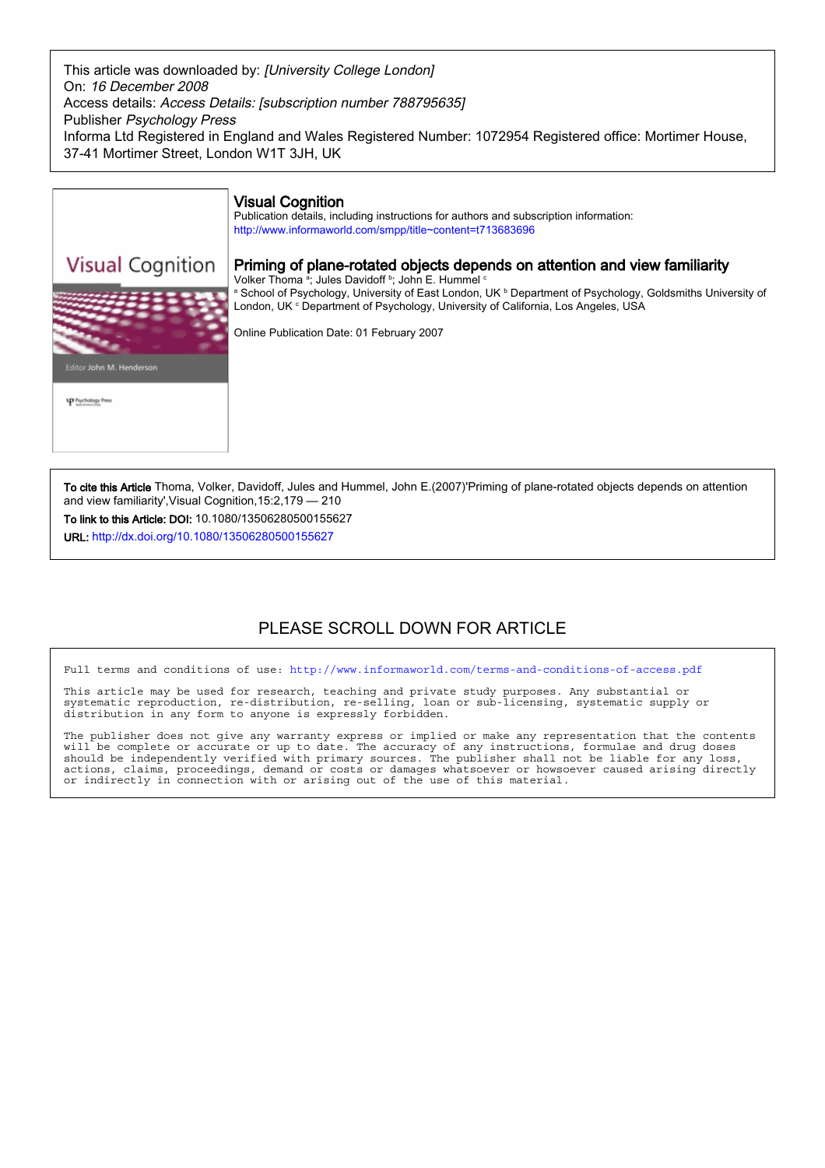This article was downloaded by: [University College London] On: 16 December 2008 Access details: Access Details: [subscription number 788795635] Publisher Psychology Press Informa Ltd Registered in England and Wales Registered Number: 1072954 Registered office: Mortimer House, 37-41 Mortimer Street, London W1T 3JH, UK



To cite this Article Thoma, Volker, Davidoff, Jules and Hummel, John E.(2007)'Priming of plane-rotated objects depends on attention and view familiarity',Visual Cognition,15:2,179 — 210

To link to this Article: DOI: 10.1080/13506280500155627

URL: http://dx.doi.org/10.1080/13506280500155627

# PLEASE SCROLL DOWN FOR ARTICLE

Full terms and conditions of use: http://www.informaworld.com/terms-and-conditions-of-access.pdf

This article may be used for research, teaching and private study purposes. Any substantial or systematic reproduction, re-distribution, re-selling, loan or sub-licensing, systematic supply or distribution in any form to anyone is expressly forbidden.

The publisher does not give any warranty express or implied or make any representation that the contents will be complete or accurate or up to date. The accuracy of any instructions, formulae and drug doses should be independently verified with primary sources. The publisher shall not be liable for any loss, actions, claims, proceedings, demand or costs or damages whatsoever or howsoever caused arising directly or indirectly in connection with or arising out of the use of this material.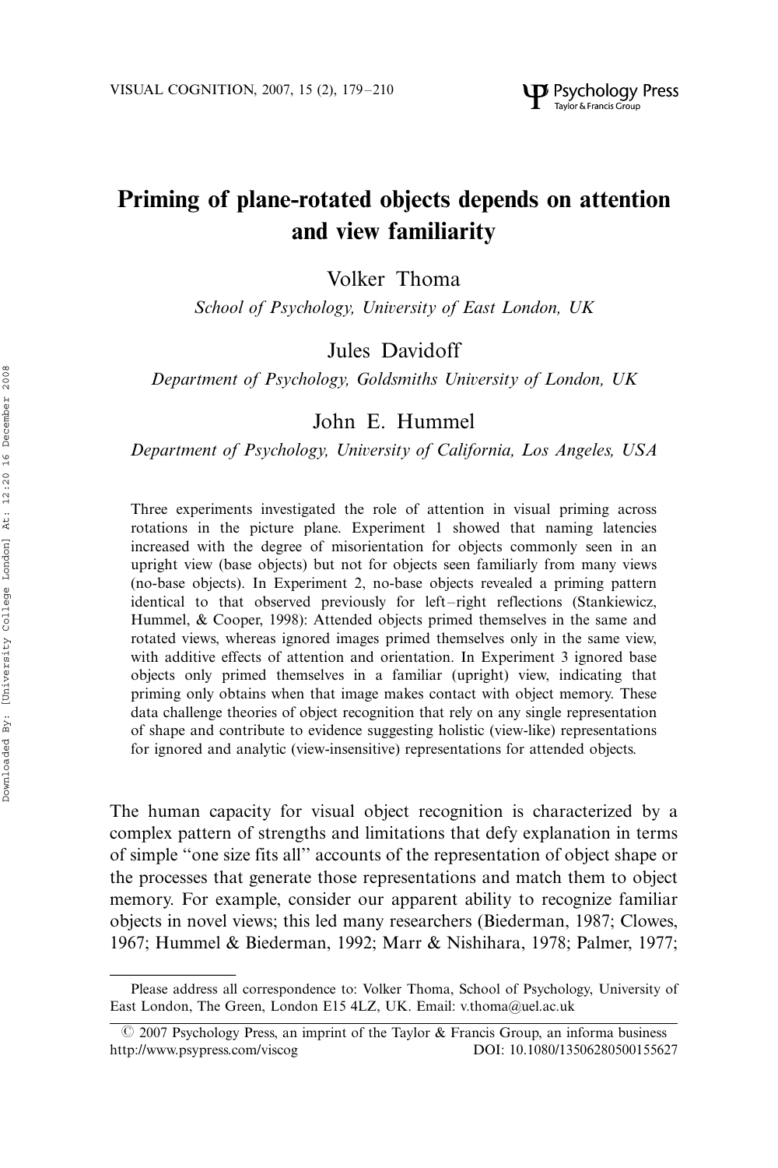# Priming of plane-rotated objects depends on attention and view familiarity

Volker Thoma

School of Psychology, University of East London, UK

# Jules Davidoff

Department of Psychology, Goldsmiths University of London, UK

# John E. Hummel

Department of Psychology, University of California, Los Angeles, USA

Three experiments investigated the role of attention in visual priming across rotations in the picture plane. Experiment 1 showed that naming latencies increased with the degree of misorientation for objects commonly seen in an upright view (base objects) but not for objects seen familiarly from many views (no-base objects). In Experiment 2, no-base objects revealed a priming pattern identical to that observed previously for left-right reflections (Stankiewicz, Hummel, & Cooper, 1998): Attended objects primed themselves in the same and rotated views, whereas ignored images primed themselves only in the same view, with additive effects of attention and orientation. In Experiment 3 ignored base objects only primed themselves in a familiar (upright) view, indicating that priming only obtains when that image makes contact with object memory. These data challenge theories of object recognition that rely on any single representation of shape and contribute to evidence suggesting holistic (view-like) representations for ignored and analytic (view-insensitive) representations for attended objects.

The human capacity for visual object recognition is characterized by a complex pattern of strengths and limitations that defy explanation in terms of simple ''one size fits all'' accounts of the representation of object shape or the processes that generate those representations and match them to object memory. For example, consider our apparent ability to recognize familiar objects in novel views; this led many researchers (Biederman, 1987; Clowes, 1967; Hummel & Biederman, 1992; Marr & Nishihara, 1978; Palmer, 1977;

Please address all correspondence to: Volker Thoma, School of Psychology, University of East London, The Green, London E15 4LZ, UK. Email: v.thoma@uel.ac.uk

 $\odot$  2007 Psychology Press, an imprint of the Taylor & Francis Group, an informa business http://www.psypress.com/viscog DOI: 10.1080/13506280500155627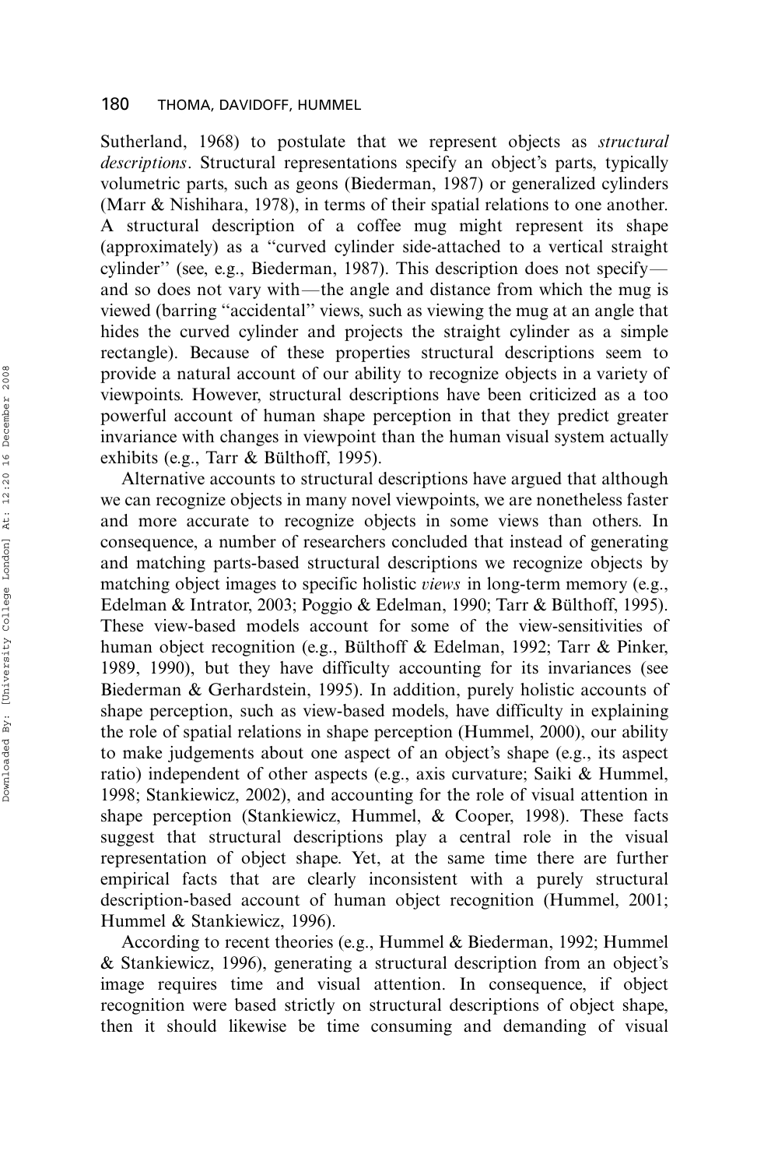Sutherland, 1968) to postulate that we represent objects as structural descriptions. Structural representations specify an object's parts, typically volumetric parts, such as geons (Biederman, 1987) or generalized cylinders (Marr & Nishihara, 1978), in terms of their spatial relations to one another. A structural description of a coffee mug might represent its shape (approximately) as a ''curved cylinder side-attached to a vertical straight cylinder'' (see, e.g., Biederman, 1987). This description does not specify\* and so does not vary with—the angle and distance from which the mug is viewed (barring ''accidental'' views, such as viewing the mug at an angle that hides the curved cylinder and projects the straight cylinder as a simple rectangle). Because of these properties structural descriptions seem to provide a natural account of our ability to recognize objects in a variety of viewpoints. However, structural descriptions have been criticized as a too powerful account of human shape perception in that they predict greater invariance with changes in viewpoint than the human visual system actually exhibits (e.g., Tarr  $&$  Bülthoff, 1995).

Alternative accounts to structural descriptions have argued that although we can recognize objects in many novel viewpoints, we are nonetheless faster and more accurate to recognize objects in some views than others. In consequence, a number of researchers concluded that instead of generating and matching parts-based structural descriptions we recognize objects by matching object images to specific holistic *views* in long-term memory (e.g., Edelman & Intrator, 2003; Poggio & Edelman, 1990; Tarr & Bülthoff, 1995). These view-based models account for some of the view-sensitivities of human object recognition (e.g., Bulthoff & Edelman, 1992; Tarr & Pinker, 1989, 1990), but they have difficulty accounting for its invariances (see Biederman & Gerhardstein, 1995). In addition, purely holistic accounts of shape perception, such as view-based models, have difficulty in explaining the role of spatial relations in shape perception (Hummel, 2000), our ability to make judgements about one aspect of an object's shape (e.g., its aspect ratio) independent of other aspects (e.g., axis curvature; Saiki & Hummel, 1998; Stankiewicz, 2002), and accounting for the role of visual attention in shape perception (Stankiewicz, Hummel, & Cooper, 1998). These facts suggest that structural descriptions play a central role in the visual representation of object shape. Yet, at the same time there are further empirical facts that are clearly inconsistent with a purely structural description-based account of human object recognition (Hummel, 2001; Hummel & Stankiewicz, 1996).

According to recent theories (e.g., Hummel & Biederman, 1992; Hummel & Stankiewicz, 1996), generating a structural description from an object's image requires time and visual attention. In consequence, if object recognition were based strictly on structural descriptions of object shape, then it should likewise be time consuming and demanding of visual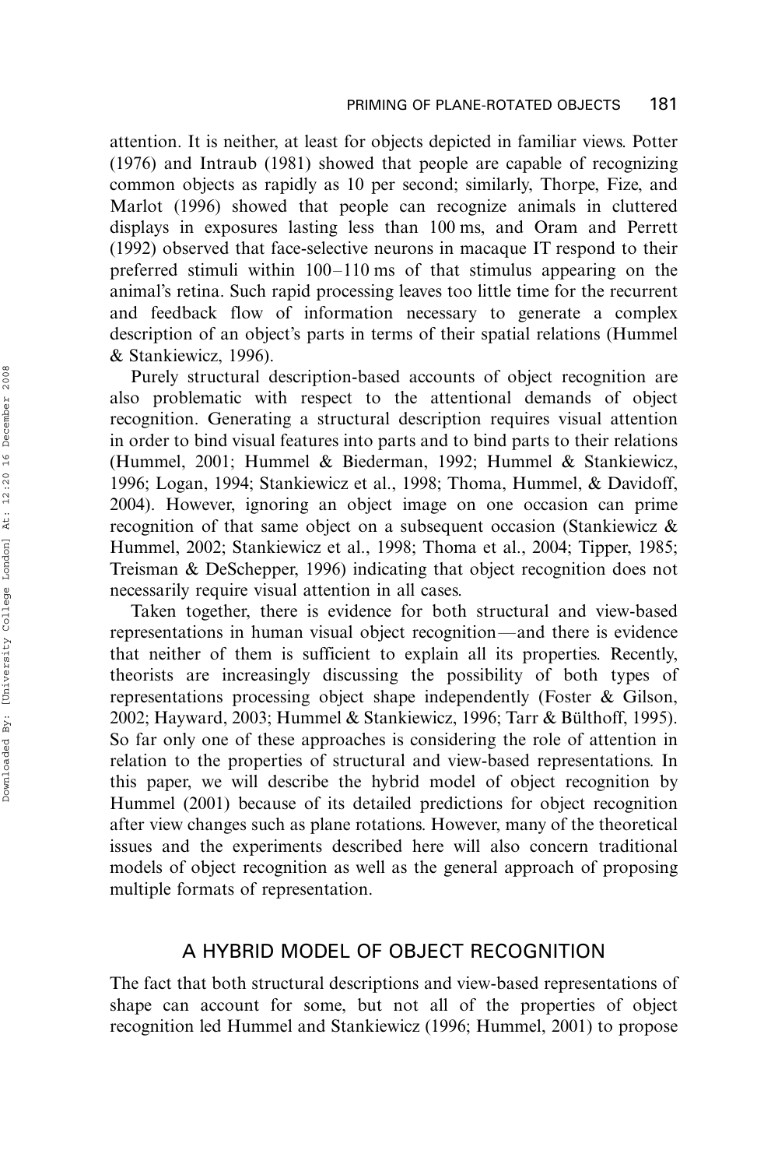attention. It is neither, at least for objects depicted in familiar views. Potter (1976) and Intraub (1981) showed that people are capable of recognizing common objects as rapidly as 10 per second; similarly, Thorpe, Fize, and Marlot (1996) showed that people can recognize animals in cluttered displays in exposures lasting less than 100 ms, and Oram and Perrett (1992) observed that face-selective neurons in macaque IT respond to their preferred stimuli within 100-110 ms of that stimulus appearing on the animal's retina. Such rapid processing leaves too little time for the recurrent and feedback flow of information necessary to generate a complex description of an object's parts in terms of their spatial relations (Hummel & Stankiewicz, 1996).

Purely structural description-based accounts of object recognition are also problematic with respect to the attentional demands of object recognition. Generating a structural description requires visual attention in order to bind visual features into parts and to bind parts to their relations (Hummel, 2001; Hummel & Biederman, 1992; Hummel & Stankiewicz, 1996; Logan, 1994; Stankiewicz et al., 1998; Thoma, Hummel, & Davidoff, 2004). However, ignoring an object image on one occasion can prime recognition of that same object on a subsequent occasion (Stankiewicz & Hummel, 2002; Stankiewicz et al., 1998; Thoma et al., 2004; Tipper, 1985; Treisman & DeSchepper, 1996) indicating that object recognition does not necessarily require visual attention in all cases.

Taken together, there is evidence for both structural and view-based representations in human visual object recognition—and there is evidence that neither of them is sufficient to explain all its properties. Recently, theorists are increasingly discussing the possibility of both types of representations processing object shape independently (Foster & Gilson, 2002; Hayward, 2003; Hummel & Stankiewicz, 1996; Tarr & Bülthoff, 1995). So far only one of these approaches is considering the role of attention in relation to the properties of structural and view-based representations. In this paper, we will describe the hybrid model of object recognition by Hummel (2001) because of its detailed predictions for object recognition after view changes such as plane rotations. However, many of the theoretical issues and the experiments described here will also concern traditional models of object recognition as well as the general approach of proposing multiple formats of representation.

# A HYBRID MODEL OF OBJECT RECOGNITION

The fact that both structural descriptions and view-based representations of shape can account for some, but not all of the properties of object recognition led Hummel and Stankiewicz (1996; Hummel, 2001) to propose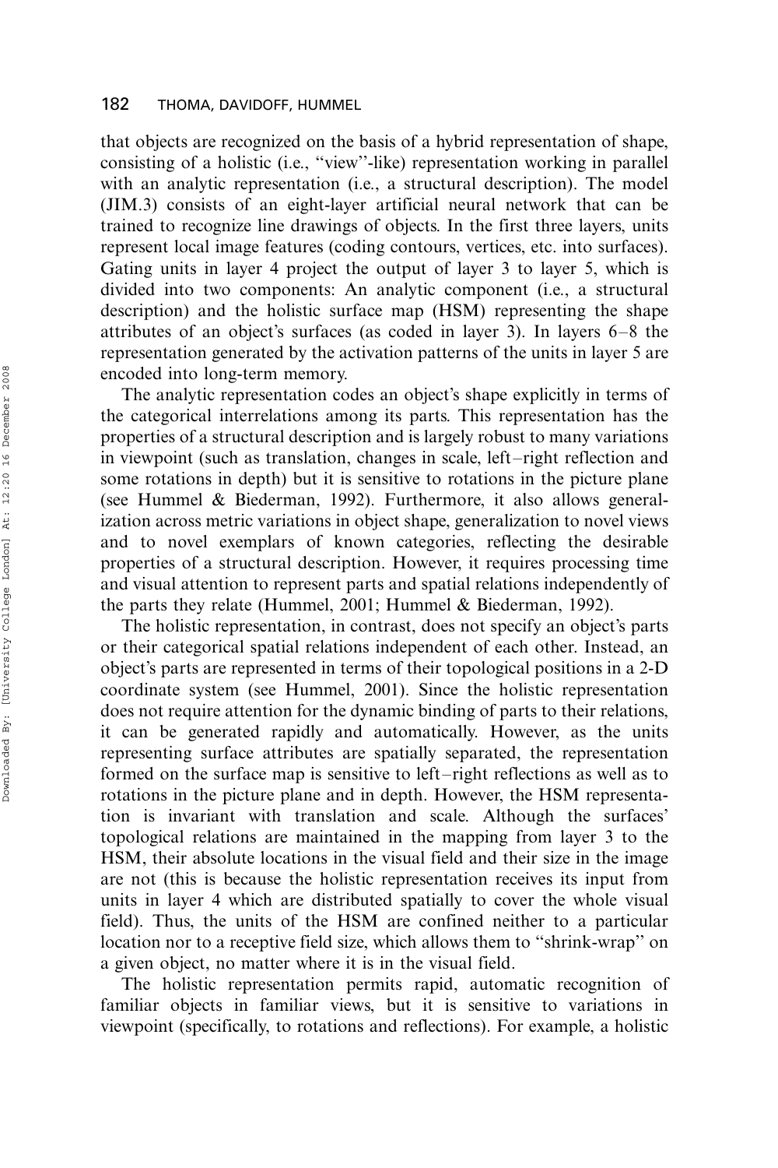that objects are recognized on the basis of a hybrid representation of shape, consisting of a holistic (i.e., ''view''-like) representation working in parallel with an analytic representation (i.e., a structural description). The model (JIM.3) consists of an eight-layer artificial neural network that can be trained to recognize line drawings of objects. In the first three layers, units represent local image features (coding contours, vertices, etc. into surfaces). Gating units in layer 4 project the output of layer 3 to layer 5, which is divided into two components: An analytic component (i.e., a structural description) and the holistic surface map (HSM) representing the shape attributes of an object's surfaces (as coded in layer 3). In layers 6-8 the representation generated by the activation patterns of the units in layer 5 are encoded into long-term memory.

The analytic representation codes an object's shape explicitly in terms of the categorical interrelations among its parts. This representation has the properties of a structural description and is largely robust to many variations in viewpoint (such as translation, changes in scale, left-right reflection and some rotations in depth) but it is sensitive to rotations in the picture plane (see Hummel & Biederman, 1992). Furthermore, it also allows generalization across metric variations in object shape, generalization to novel views and to novel exemplars of known categories, reflecting the desirable properties of a structural description. However, it requires processing time and visual attention to represent parts and spatial relations independently of the parts they relate (Hummel, 2001; Hummel & Biederman, 1992).

The holistic representation, in contrast, does not specify an object's parts or their categorical spatial relations independent of each other. Instead, an object's parts are represented in terms of their topological positions in a 2-D coordinate system (see Hummel, 2001). Since the holistic representation does not require attention for the dynamic binding of parts to their relations, it can be generated rapidly and automatically. However, as the units representing surface attributes are spatially separated, the representation formed on the surface map is sensitive to left-right reflections as well as to rotations in the picture plane and in depth. However, the HSM representation is invariant with translation and scale. Although the surfaces' topological relations are maintained in the mapping from layer 3 to the HSM, their absolute locations in the visual field and their size in the image are not (this is because the holistic representation receives its input from units in layer 4 which are distributed spatially to cover the whole visual field). Thus, the units of the HSM are confined neither to a particular location nor to a receptive field size, which allows them to ''shrink-wrap'' on a given object, no matter where it is in the visual field.

The holistic representation permits rapid, automatic recognition of familiar objects in familiar views, but it is sensitive to variations in viewpoint (specifically, to rotations and reflections). For example, a holistic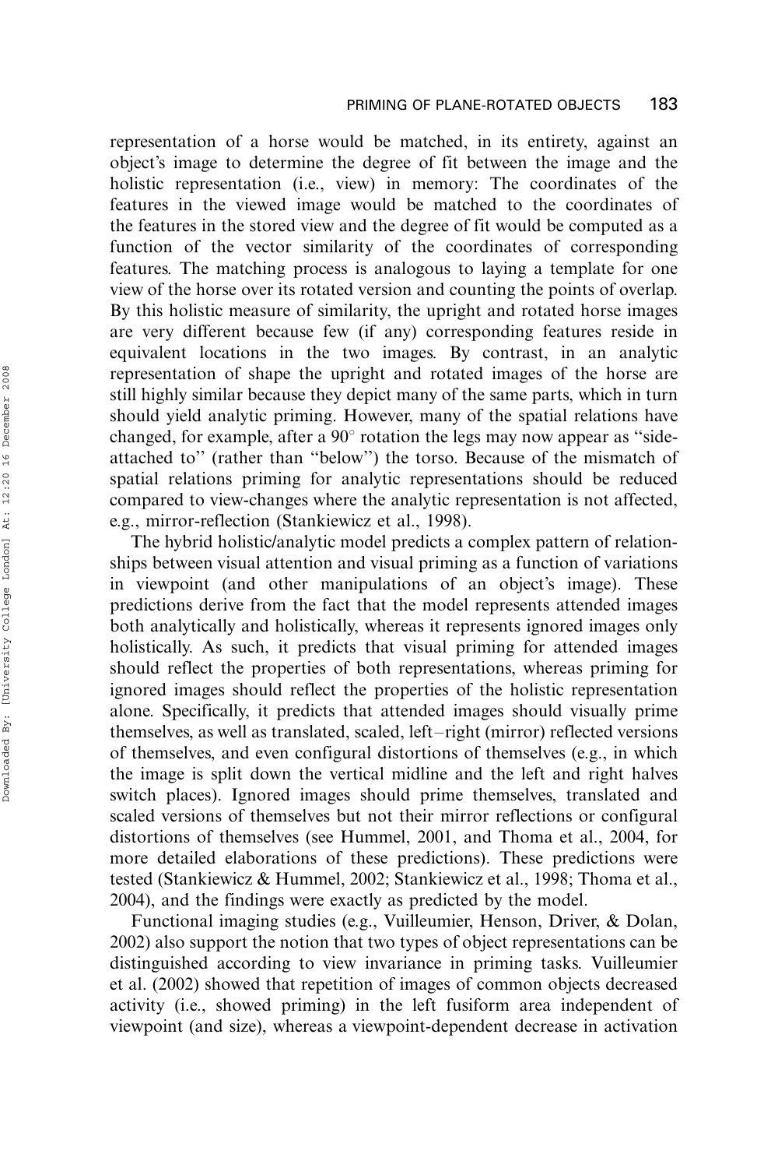representation of a horse would be matched, in its entirety, against an object's image to determine the degree of fit between the image and the holistic representation (i.e., view) in memory: The coordinates of the features in the viewed image would be matched to the coordinates of the features in the stored view and the degree of fit would be computed as a function of the vector similarity of the coordinates of corresponding features. The matching process is analogous to laying a template for one view of the horse over its rotated version and counting the points of overlap. By this holistic measure of similarity, the upright and rotated horse images are very different because few (if any) corresponding features reside in equivalent locations in the two images. By contrast, in an analytic representation of shape the upright and rotated images of the horse are still highly similar because they depict many of the same parts, which in turn should yield analytic priming. However, many of the spatial relations have changed, for example, after a  $90^{\circ}$  rotation the legs may now appear as "sideattached to'' (rather than ''below'') the torso. Because of the mismatch of spatial relations priming for analytic representations should be reduced compared to view-changes where the analytic representation is not affected, e.g., mirror-reflection (Stankiewicz et al., 1998).

The hybrid holistic/analytic model predicts a complex pattern of relationships between visual attention and visual priming as a function of variations in viewpoint (and other manipulations of an object's image). These predictions derive from the fact that the model represents attended images both analytically and holistically, whereas it represents ignored images only holistically. As such, it predicts that visual priming for attended images should reflect the properties of both representations, whereas priming for ignored images should reflect the properties of the holistic representation alone. Specifically, it predicts that attended images should visually prime themselves, as well as translated, scaled, left-right (mirror) reflected versions of themselves, and even configural distortions of themselves (e.g., in which the image is split down the vertical midline and the left and right halves switch places). Ignored images should prime themselves, translated and scaled versions of themselves but not their mirror reflections or configural distortions of themselves (see Hummel, 2001, and Thoma et al., 2004, for more detailed elaborations of these predictions). These predictions were tested (Stankiewicz & Hummel, 2002; Stankiewicz et al., 1998; Thoma et al., 2004), and the findings were exactly as predicted by the model.

Functional imaging studies (e.g., Vuilleumier, Henson, Driver, & Dolan, 2002) also support the notion that two types of object representations can be distinguished according to view invariance in priming tasks. Vuilleumier et al. (2002) showed that repetition of images of common objects decreased activity (i.e., showed priming) in the left fusiform area independent of viewpoint (and size), whereas a viewpoint-dependent decrease in activation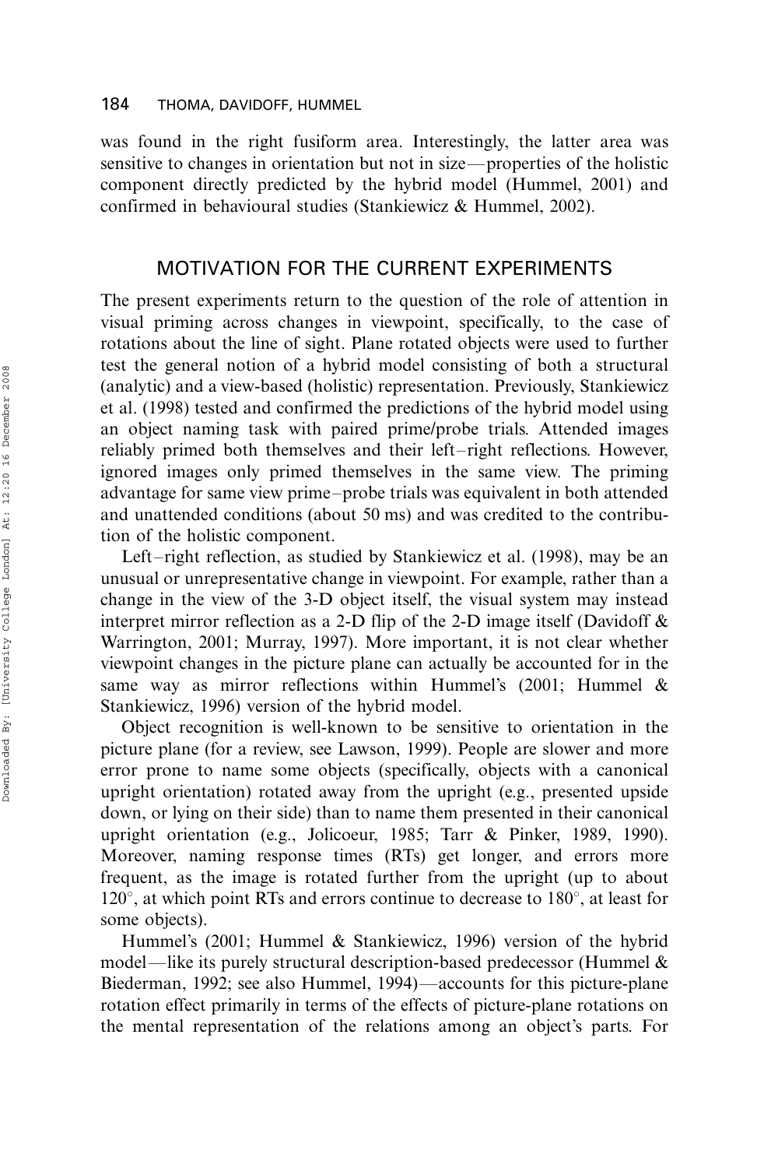was found in the right fusiform area. Interestingly, the latter area was sensitive to changes in orientation but not in size—properties of the holistic component directly predicted by the hybrid model (Hummel, 2001) and confirmed in behavioural studies (Stankiewicz & Hummel, 2002).

### MOTIVATION FOR THE CURRENT EXPERIMENTS

The present experiments return to the question of the role of attention in visual priming across changes in viewpoint, specifically, to the case of rotations about the line of sight. Plane rotated objects were used to further test the general notion of a hybrid model consisting of both a structural (analytic) and a view-based (holistic) representation. Previously, Stankiewicz et al. (1998) tested and confirmed the predictions of the hybrid model using an object naming task with paired prime/probe trials. Attended images reliably primed both themselves and their left-right reflections. However, ignored images only primed themselves in the same view. The priming advantage for same view prime-probe trials was equivalent in both attended and unattended conditions (about 50 ms) and was credited to the contribution of the holistic component.

Left-right reflection, as studied by Stankiewicz et al. (1998), may be an unusual or unrepresentative change in viewpoint. For example, rather than a change in the view of the 3-D object itself, the visual system may instead interpret mirror reflection as a 2-D flip of the 2-D image itself (Davidoff & Warrington, 2001; Murray, 1997). More important, it is not clear whether viewpoint changes in the picture plane can actually be accounted for in the same way as mirror reflections within Hummel's (2001; Hummel & Stankiewicz, 1996) version of the hybrid model.

Object recognition is well-known to be sensitive to orientation in the picture plane (for a review, see Lawson, 1999). People are slower and more error prone to name some objects (specifically, objects with a canonical upright orientation) rotated away from the upright (e.g., presented upside down, or lying on their side) than to name them presented in their canonical upright orientation (e.g., Jolicoeur, 1985; Tarr & Pinker, 1989, 1990). Moreover, naming response times (RTs) get longer, and errors more frequent, as the image is rotated further from the upright (up to about  $120^{\circ}$ , at which point RTs and errors continue to decrease to 180 $^{\circ}$ , at least for some objects).

Hummel's (2001; Hummel & Stankiewicz, 1996) version of the hybrid model—like its purely structural description-based predecessor (Hummel  $\&$ Biederman, 1992; see also Hummel, 1994)—accounts for this picture-plane rotation effect primarily in terms of the effects of picture-plane rotations on the mental representation of the relations among an object's parts. For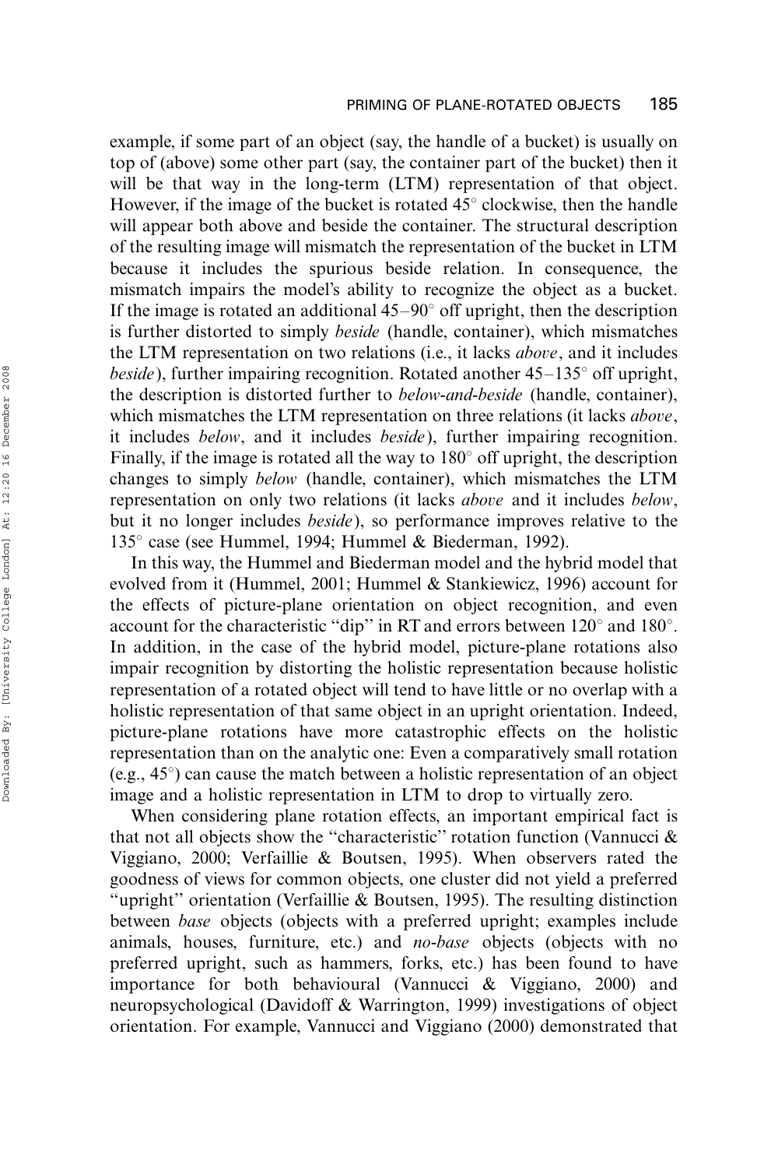example, if some part of an object (say, the handle of a bucket) is usually on top of (above) some other part (say, the container part of the bucket) then it will be that way in the long-term (LTM) representation of that object. However, if the image of the bucket is rotated  $45^{\circ}$  clockwise, then the handle will appear both above and beside the container. The structural description of the resulting image will mismatch the representation of the bucket in LTM because it includes the spurious beside relation. In consequence, the mismatch impairs the model's ability to recognize the object as a bucket. If the image is rotated an additional  $45-90^{\circ}$  off upright, then the description is further distorted to simply *beside* (handle, container), which mismatches the LTM representation on two relations (i.e., it lacks above, and it includes *beside*), further impairing recognition. Rotated another  $45-135^{\circ}$  off upright, the description is distorted further to below-and-beside (handle, container), which mismatches the LTM representation on three relations (it lacks *above*, it includes below, and it includes beside), further impairing recognition. Finally, if the image is rotated all the way to  $180^{\circ}$  off upright, the description changes to simply below (handle, container), which mismatches the LTM representation on only two relations (it lacks *above* and it includes *below*, but it no longer includes beside), so performance improves relative to the 135 $^{\circ}$  case (see Hummel, 1994; Hummel & Biederman, 1992).

In this way, the Hummel and Biederman model and the hybrid model that evolved from it (Hummel, 2001; Hummel & Stankiewicz, 1996) account for the effects of picture-plane orientation on object recognition, and even account for the characteristic "dip" in RT and errors between  $120^{\circ}$  and  $180^{\circ}$ . In addition, in the case of the hybrid model, picture-plane rotations also impair recognition by distorting the holistic representation because holistic representation of a rotated object will tend to have little or no overlap with a holistic representation of that same object in an upright orientation. Indeed, picture-plane rotations have more catastrophic effects on the holistic representation than on the analytic one: Even a comparatively small rotation (e.g.,  $45^{\circ}$ ) can cause the match between a holistic representation of an object image and a holistic representation in LTM to drop to virtually zero.

When considering plane rotation effects, an important empirical fact is that not all objects show the ''characteristic'' rotation function (Vannucci & Viggiano, 2000; Verfaillie & Boutsen, 1995). When observers rated the goodness of views for common objects, one cluster did not yield a preferred "upright" orientation (Verfaillie & Boutsen, 1995). The resulting distinction between base objects (objects with a preferred upright; examples include animals, houses, furniture, etc.) and no-base objects (objects with no preferred upright, such as hammers, forks, etc.) has been found to have importance for both behavioural (Vannucci & Viggiano, 2000) and neuropsychological (Davidoff & Warrington, 1999) investigations of object orientation. For example, Vannucci and Viggiano (2000) demonstrated that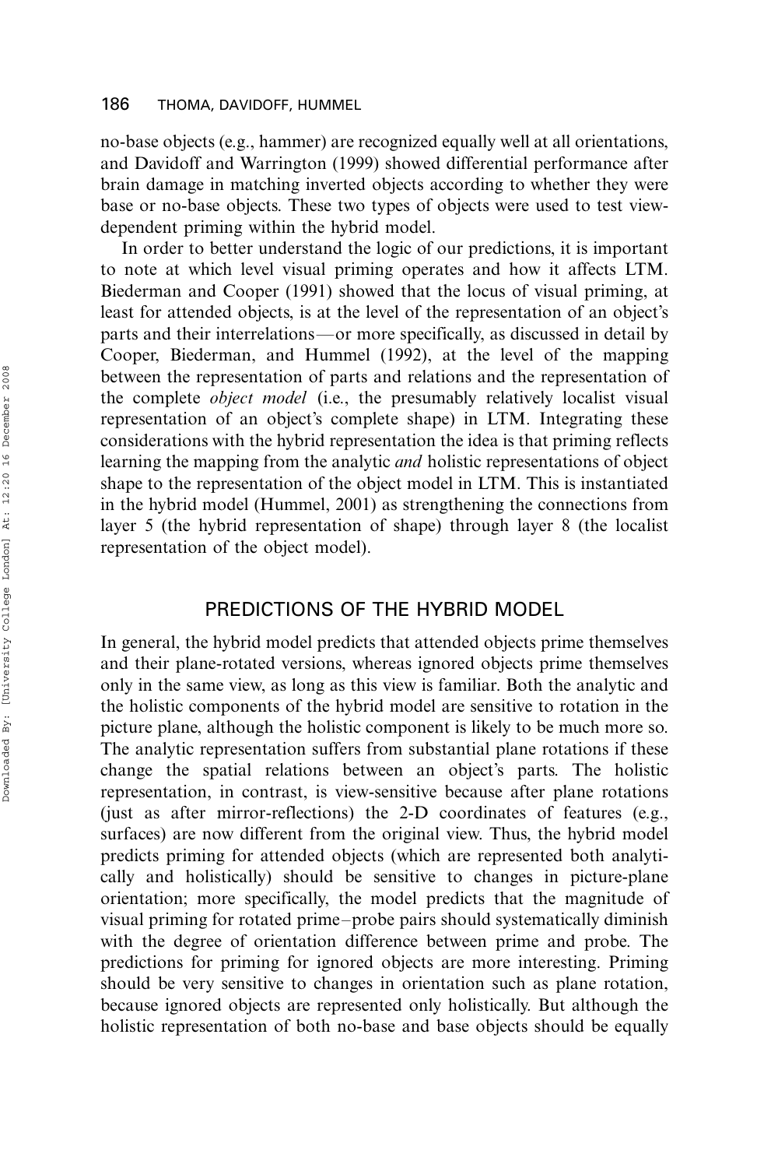no-base objects (e.g., hammer) are recognized equally well at all orientations, and Davidoff and Warrington (1999) showed differential performance after brain damage in matching inverted objects according to whether they were base or no-base objects. These two types of objects were used to test viewdependent priming within the hybrid model.

In order to better understand the logic of our predictions, it is important to note at which level visual priming operates and how it affects LTM. Biederman and Cooper (1991) showed that the locus of visual priming, at least for attended objects, is at the level of the representation of an object's parts and their interrelations\*or more specifically, as discussed in detail by Cooper, Biederman, and Hummel (1992), at the level of the mapping between the representation of parts and relations and the representation of the complete *object model* (i.e., the presumably relatively localist visual representation of an object's complete shape) in LTM. Integrating these considerations with the hybrid representation the idea is that priming reflects learning the mapping from the analytic and holistic representations of object shape to the representation of the object model in LTM. This is instantiated in the hybrid model (Hummel, 2001) as strengthening the connections from layer 5 (the hybrid representation of shape) through layer 8 (the localist representation of the object model).

# PREDICTIONS OF THE HYBRID MODEL

In general, the hybrid model predicts that attended objects prime themselves and their plane-rotated versions, whereas ignored objects prime themselves only in the same view, as long as this view is familiar. Both the analytic and the holistic components of the hybrid model are sensitive to rotation in the picture plane, although the holistic component is likely to be much more so. The analytic representation suffers from substantial plane rotations if these change the spatial relations between an object's parts. The holistic representation, in contrast, is view-sensitive because after plane rotations (just as after mirror-reflections) the 2-D coordinates of features (e.g., surfaces) are now different from the original view. Thus, the hybrid model predicts priming for attended objects (which are represented both analytically and holistically) should be sensitive to changes in picture-plane orientation; more specifically, the model predicts that the magnitude of visual priming for rotated prime-probe pairs should systematically diminish with the degree of orientation difference between prime and probe. The predictions for priming for ignored objects are more interesting. Priming should be very sensitive to changes in orientation such as plane rotation, because ignored objects are represented only holistically. But although the holistic representation of both no-base and base objects should be equally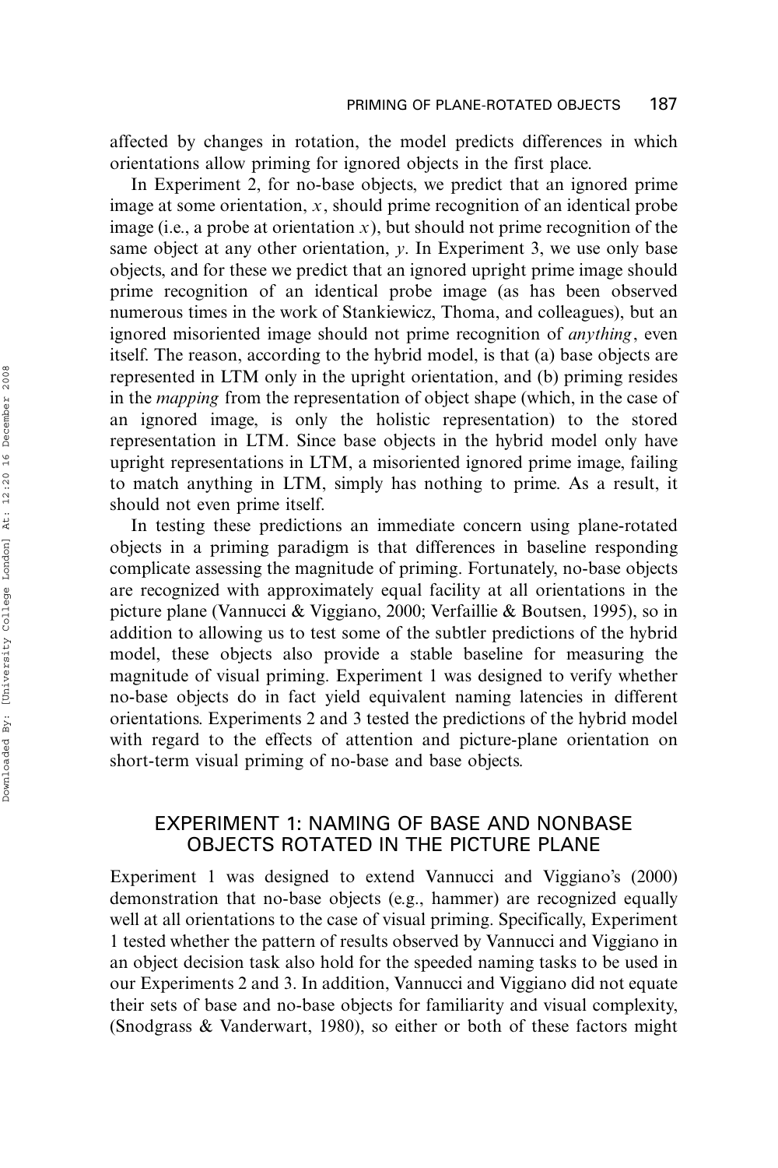affected by changes in rotation, the model predicts differences in which orientations allow priming for ignored objects in the first place.

In Experiment 2, for no-base objects, we predict that an ignored prime image at some orientation,  $x$ , should prime recognition of an identical probe image (i.e., a probe at orientation x), but should not prime recognition of the same object at any other orientation,  $y$ . In Experiment 3, we use only base objects, and for these we predict that an ignored upright prime image should prime recognition of an identical probe image (as has been observed numerous times in the work of Stankiewicz, Thoma, and colleagues), but an ignored misoriented image should not prime recognition of *anything*, even itself. The reason, according to the hybrid model, is that (a) base objects are represented in LTM only in the upright orientation, and (b) priming resides in the mapping from the representation of object shape (which, in the case of an ignored image, is only the holistic representation) to the stored representation in LTM. Since base objects in the hybrid model only have upright representations in LTM, a misoriented ignored prime image, failing to match anything in LTM, simply has nothing to prime. As a result, it should not even prime itself.

In testing these predictions an immediate concern using plane-rotated objects in a priming paradigm is that differences in baseline responding complicate assessing the magnitude of priming. Fortunately, no-base objects are recognized with approximately equal facility at all orientations in the picture plane (Vannucci & Viggiano, 2000; Verfaillie & Boutsen, 1995), so in addition to allowing us to test some of the subtler predictions of the hybrid model, these objects also provide a stable baseline for measuring the magnitude of visual priming. Experiment 1 was designed to verify whether no-base objects do in fact yield equivalent naming latencies in different orientations. Experiments 2 and 3 tested the predictions of the hybrid model with regard to the effects of attention and picture-plane orientation on short-term visual priming of no-base and base objects.

# EXPERIMENT 1: NAMING OF BASE AND NONBASE OBJECTS ROTATED IN THE PICTURE PLANE

Experiment 1 was designed to extend Vannucci and Viggiano's (2000) demonstration that no-base objects (e.g., hammer) are recognized equally well at all orientations to the case of visual priming. Specifically, Experiment 1 tested whether the pattern of results observed by Vannucci and Viggiano in an object decision task also hold for the speeded naming tasks to be used in our Experiments 2 and 3. In addition, Vannucci and Viggiano did not equate their sets of base and no-base objects for familiarity and visual complexity, (Snodgrass & Vanderwart, 1980), so either or both of these factors might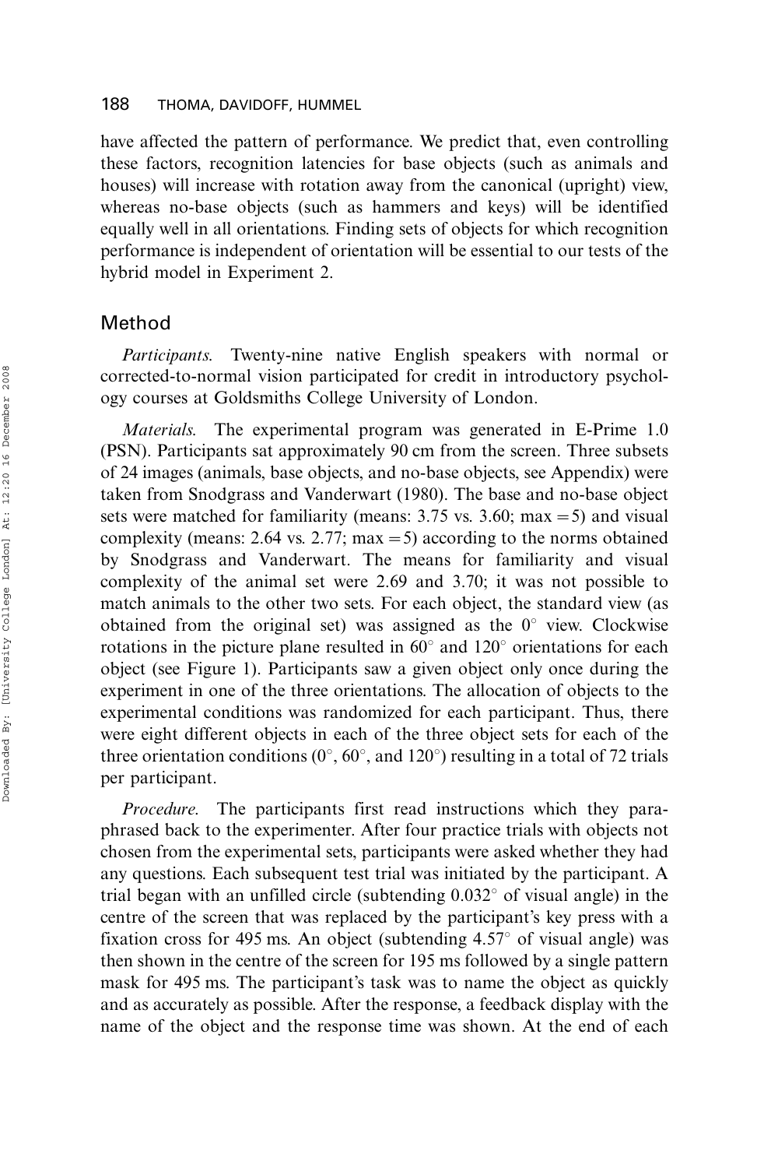have affected the pattern of performance. We predict that, even controlling these factors, recognition latencies for base objects (such as animals and houses) will increase with rotation away from the canonical (upright) view, whereas no-base objects (such as hammers and keys) will be identified equally well in all orientations. Finding sets of objects for which recognition performance is independent of orientation will be essential to our tests of the hybrid model in Experiment 2.

# Method

Participants. Twenty-nine native English speakers with normal or corrected-to-normal vision participated for credit in introductory psychology courses at Goldsmiths College University of London.

Materials. The experimental program was generated in E-Prime 1.0 (PSN). Participants sat approximately 90 cm from the screen. Three subsets of 24 images (animals, base objects, and no-base objects, see Appendix) were taken from Snodgrass and Vanderwart (1980). The base and no-base object sets were matched for familiarity (means:  $3.75$  vs.  $3.60$ ; max = 5) and visual complexity (means: 2.64 vs. 2.77; max = 5) according to the norms obtained by Snodgrass and Vanderwart. The means for familiarity and visual complexity of the animal set were 2.69 and 3.70; it was not possible to match animals to the other two sets. For each object, the standard view (as obtained from the original set) was assigned as the  $0^{\circ}$  view. Clockwise rotations in the picture plane resulted in  $60^{\circ}$  and  $120^{\circ}$  orientations for each object (see Figure 1). Participants saw a given object only once during the experiment in one of the three orientations. The allocation of objects to the experimental conditions was randomized for each participant. Thus, there were eight different objects in each of the three object sets for each of the three orientation conditions ( $0^{\circ}$ ,  $60^{\circ}$ , and  $120^{\circ}$ ) resulting in a total of 72 trials per participant.

Procedure. The participants first read instructions which they paraphrased back to the experimenter. After four practice trials with objects not chosen from the experimental sets, participants were asked whether they had any questions. Each subsequent test trial was initiated by the participant. A trial began with an unfilled circle (subtending  $0.032^{\circ}$  of visual angle) in the centre of the screen that was replaced by the participant's key press with a fixation cross for 495 ms. An object (subtending  $4.57^{\circ}$  of visual angle) was then shown in the centre of the screen for 195 ms followed by a single pattern mask for 495 ms. The participant's task was to name the object as quickly and as accurately as possible. After the response, a feedback display with the name of the object and the response time was shown. At the end of each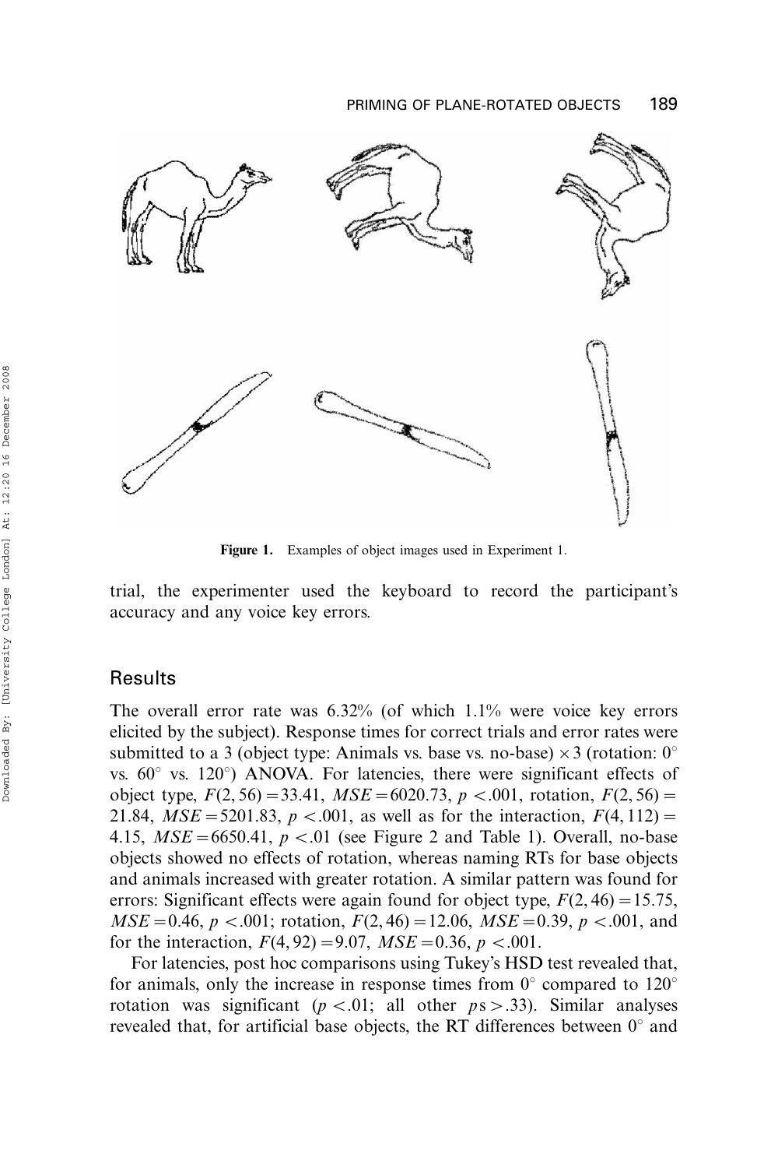

Figure 1. Examples of object images used in Experiment 1.

trial, the experimenter used the keyboard to record the participant's accuracy and any voice key errors.

### Results

The overall error rate was  $6.32\%$  (of which  $1.1\%$  were voice key errors elicited by the subject). Response times for correct trials and error rates were submitted to a 3 (object type: Animals vs. base vs. no-base)  $\times$  3 (rotation: 0° vs.  $60^{\circ}$  vs.  $120^{\circ}$ ) ANOVA. For latencies, there were significant effects of object type,  $F(2, 56) = 33.41$ ,  $MSE = 6020.73$ ,  $p < .001$ , rotation,  $F(2, 56) =$ 21.84,  $MSE = 5201.83$ ,  $p < .001$ , as well as for the interaction,  $F(4, 112) =$ 4.15,  $MSE = 6650.41$ ,  $p < .01$  (see Figure 2 and Table 1). Overall, no-base objects showed no effects of rotation, whereas naming RTs for base objects and animals increased with greater rotation. A similar pattern was found for errors: Significant effects were again found for object type,  $F(2, 46) = 15.75$ ,  $MSE=0.46$ ,  $p < .001$ ; rotation,  $F(2, 46)=12.06$ ,  $MSE=0.39$ ,  $p < .001$ , and for the interaction,  $F(4, 92) = 9.07$ ,  $MSE = 0.36$ ,  $p < .001$ .

For latencies, post hoc comparisons using Tukey's HSD test revealed that, for animals, only the increase in response times from  $0^{\circ}$  compared to  $120^{\circ}$ rotation was significant ( $p < .01$ ; all other  $ps > .33$ ). Similar analyses revealed that, for artificial base objects, the RT differences between  $0^{\circ}$  and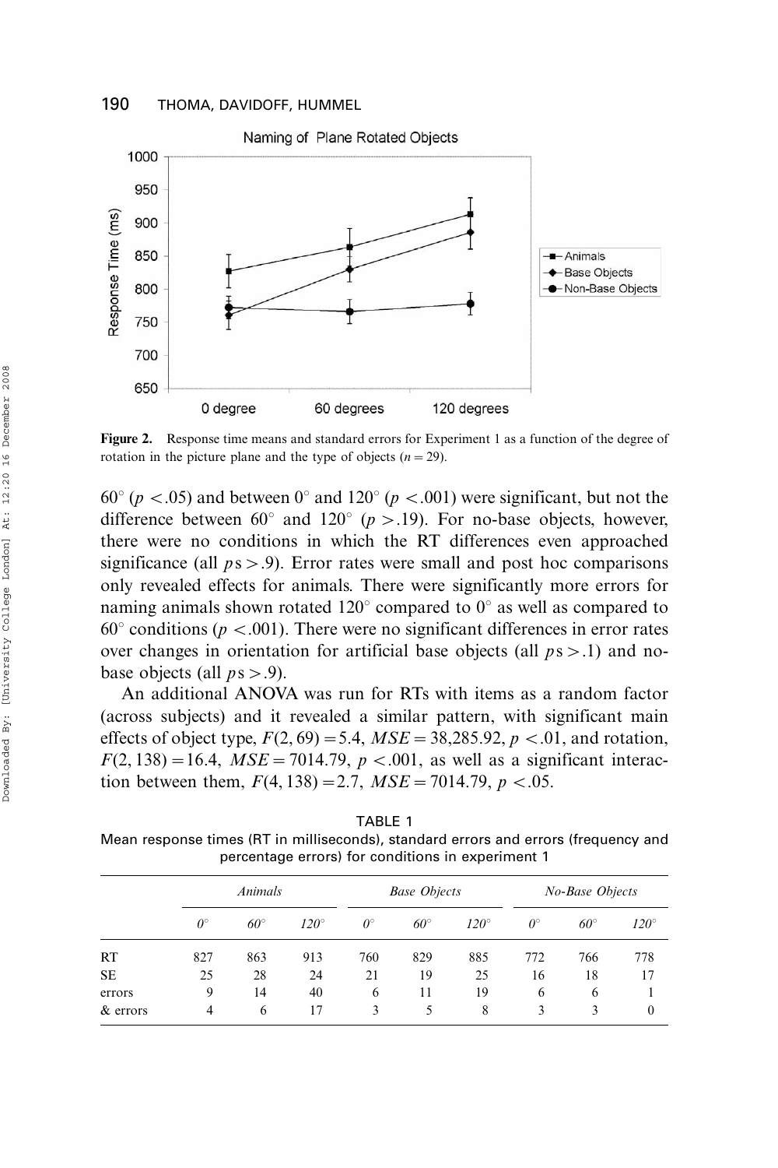

Figure 2. Response time means and standard errors for Experiment 1 as a function of the degree of rotation in the picture plane and the type of objects  $(n = 29)$ .

60° ( $p < .05$ ) and between 0° and 120° ( $p < .001$ ) were significant, but not the difference between 60 $^{\circ}$  and 120 $^{\circ}$  (p > .19). For no-base objects, however, there were no conditions in which the RT differences even approached significance (all  $ps > .9$ ). Error rates were small and post hoc comparisons only revealed effects for animals. There were significantly more errors for naming animals shown rotated  $120^{\circ}$  compared to  $0^{\circ}$  as well as compared to  $60^{\circ}$  conditions ( $p < .001$ ). There were no significant differences in error rates over changes in orientation for artificial base objects (all  $ps > .1$ ) and nobase objects (all  $ps > .9$ ).

An additional ANOVA was run for RTs with items as a random factor (across subjects) and it revealed a similar pattern, with significant main effects of object type,  $F(2, 69) = 5.4$ ,  $MSE = 38,285.92$ ,  $p < .01$ , and rotation,  $F(2, 138) = 16.4$ ,  $MSE = 7014.79$ ,  $p < .001$ , as well as a significant interaction between them,  $F(4, 138) = 2.7$ ,  $MSE = 7014.79$ ,  $p < .05$ .

TABLE 1 Mean response times (RT in milliseconds), standard errors and errors (frequency and percentage errors) for conditions in experiment 1

|           | Animals     |              |               | <b>Base Objects</b> |              |             | No-Base Objects  |              |              |
|-----------|-------------|--------------|---------------|---------------------|--------------|-------------|------------------|--------------|--------------|
|           | $0^{\circ}$ | $60^{\circ}$ | $120^{\circ}$ | $\theta^{\circ}$    | $60^{\circ}$ | $120^\circ$ | $\theta^{\circ}$ | $60^{\circ}$ | $120^\circ$  |
| RT        | 827         | 863          | 913           | 760                 | 829          | 885         | 772              | 766          | 778          |
| <b>SE</b> | 25          | 28           | 24            | 21                  | 19           | 25          | 16               | 18           | 17           |
| errors    | 9           | 14           | 40            | 6                   | 11           | 19          | 6                | 6            |              |
| & errors  | 4           | 6            | 17            | 3                   | 5            | 8           | 3                | 3            | $\mathbf{0}$ |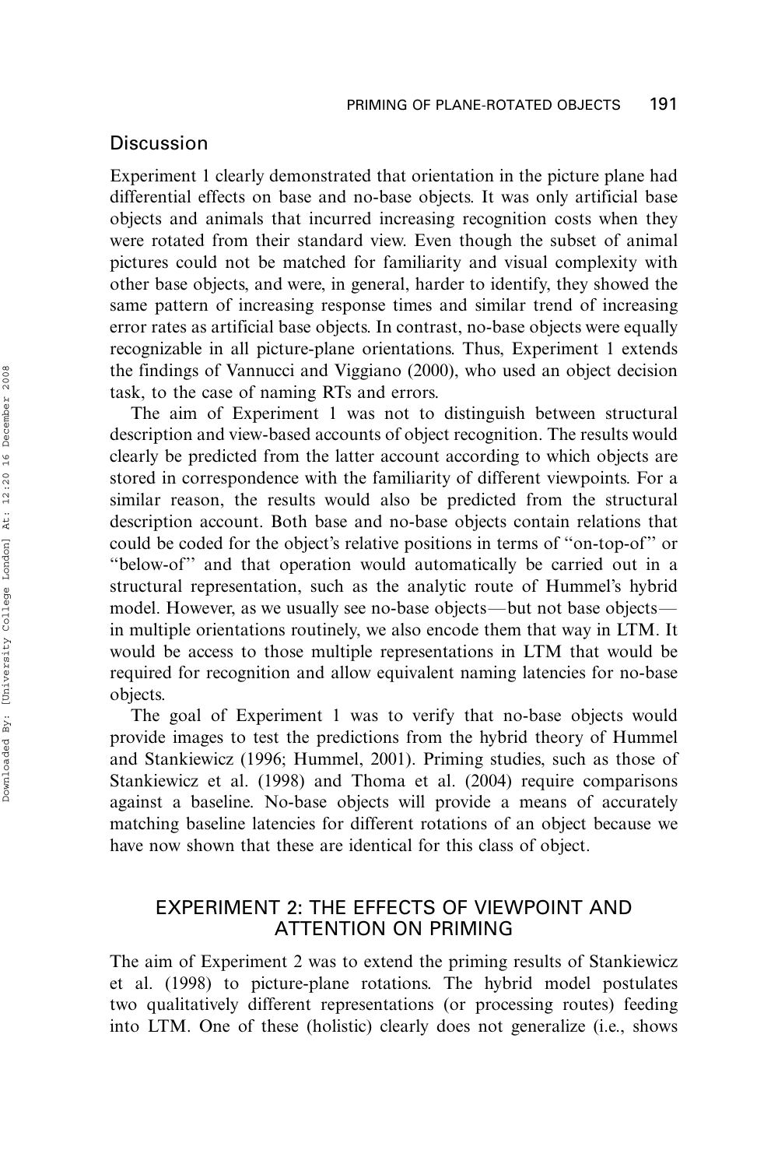### Discussion

Experiment 1 clearly demonstrated that orientation in the picture plane had differential effects on base and no-base objects. It was only artificial base objects and animals that incurred increasing recognition costs when they were rotated from their standard view. Even though the subset of animal pictures could not be matched for familiarity and visual complexity with other base objects, and were, in general, harder to identify, they showed the same pattern of increasing response times and similar trend of increasing error rates as artificial base objects. In contrast, no-base objects were equally recognizable in all picture-plane orientations. Thus, Experiment 1 extends the findings of Vannucci and Viggiano (2000), who used an object decision task, to the case of naming RTs and errors.

The aim of Experiment 1 was not to distinguish between structural description and view-based accounts of object recognition. The results would clearly be predicted from the latter account according to which objects are stored in correspondence with the familiarity of different viewpoints. For a similar reason, the results would also be predicted from the structural description account. Both base and no-base objects contain relations that could be coded for the object's relative positions in terms of ''on-top-of'' or ''below-of'' and that operation would automatically be carried out in a structural representation, such as the analytic route of Hummel's hybrid model. However, as we usually see no-base objects—but not base objects in multiple orientations routinely, we also encode them that way in LTM. It would be access to those multiple representations in LTM that would be required for recognition and allow equivalent naming latencies for no-base objects.

The goal of Experiment 1 was to verify that no-base objects would provide images to test the predictions from the hybrid theory of Hummel and Stankiewicz (1996; Hummel, 2001). Priming studies, such as those of Stankiewicz et al. (1998) and Thoma et al. (2004) require comparisons against a baseline. No-base objects will provide a means of accurately matching baseline latencies for different rotations of an object because we have now shown that these are identical for this class of object.

# EXPERIMENT 2: THE EFFECTS OF VIEWPOINT AND ATTENTION ON PRIMING

The aim of Experiment 2 was to extend the priming results of Stankiewicz et al. (1998) to picture-plane rotations. The hybrid model postulates two qualitatively different representations (or processing routes) feeding into LTM. One of these (holistic) clearly does not generalize (i.e., shows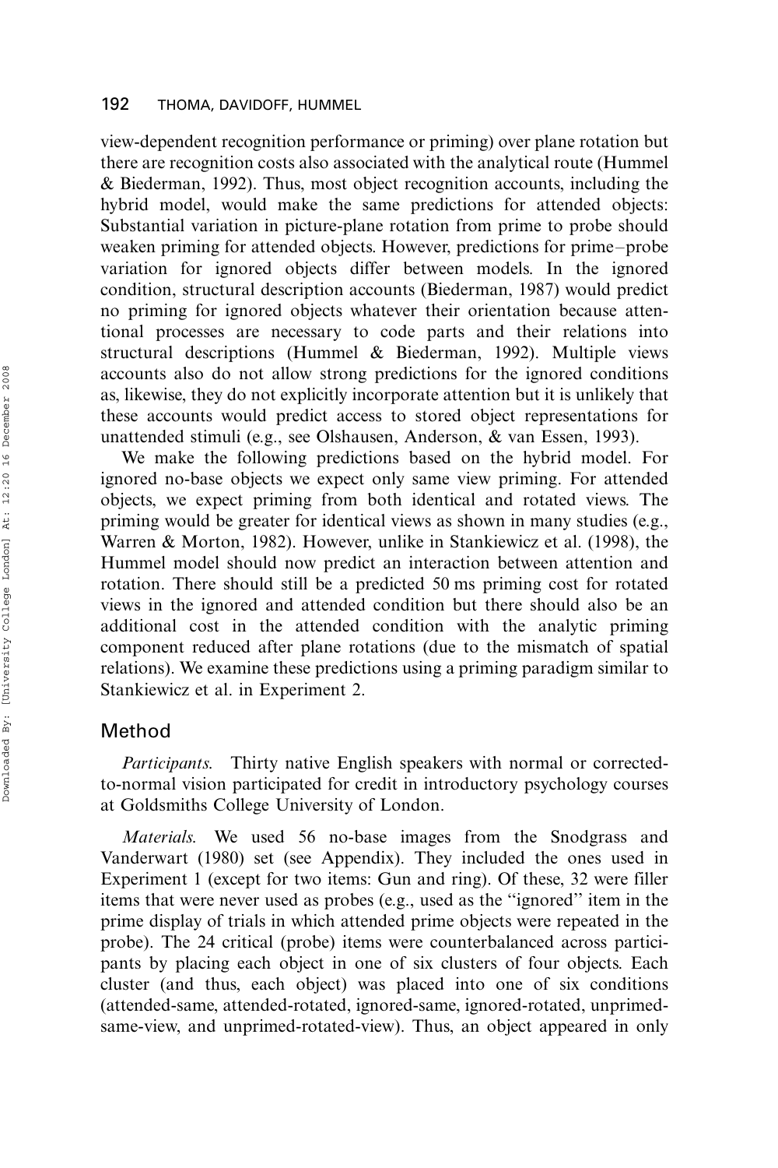view-dependent recognition performance or priming) over plane rotation but there are recognition costs also associated with the analytical route (Hummel & Biederman, 1992). Thus, most object recognition accounts, including the hybrid model, would make the same predictions for attended objects: Substantial variation in picture-plane rotation from prime to probe should weaken priming for attended objects. However, predictions for prime-probe variation for ignored objects differ between models. In the ignored condition, structural description accounts (Biederman, 1987) would predict no priming for ignored objects whatever their orientation because attentional processes are necessary to code parts and their relations into structural descriptions (Hummel & Biederman, 1992). Multiple views accounts also do not allow strong predictions for the ignored conditions as, likewise, they do not explicitly incorporate attention but it is unlikely that these accounts would predict access to stored object representations for unattended stimuli (e.g., see Olshausen, Anderson, & van Essen, 1993).

We make the following predictions based on the hybrid model. For ignored no-base objects we expect only same view priming. For attended objects, we expect priming from both identical and rotated views. The priming would be greater for identical views as shown in many studies (e.g., Warren & Morton, 1982). However, unlike in Stankiewicz et al. (1998), the Hummel model should now predict an interaction between attention and rotation. There should still be a predicted 50 ms priming cost for rotated views in the ignored and attended condition but there should also be an additional cost in the attended condition with the analytic priming component reduced after plane rotations (due to the mismatch of spatial relations). We examine these predictions using a priming paradigm similar to Stankiewicz et al. in Experiment 2.

# Method

Participants. Thirty native English speakers with normal or correctedto-normal vision participated for credit in introductory psychology courses at Goldsmiths College University of London.

Materials. We used 56 no-base images from the Snodgrass and Vanderwart (1980) set (see Appendix). They included the ones used in Experiment 1 (except for two items: Gun and ring). Of these, 32 were filler items that were never used as probes (e.g., used as the ''ignored'' item in the prime display of trials in which attended prime objects were repeated in the probe). The 24 critical (probe) items were counterbalanced across participants by placing each object in one of six clusters of four objects. Each cluster (and thus, each object) was placed into one of six conditions (attended-same, attended-rotated, ignored-same, ignored-rotated, unprimedsame-view, and unprimed-rotated-view). Thus, an object appeared in only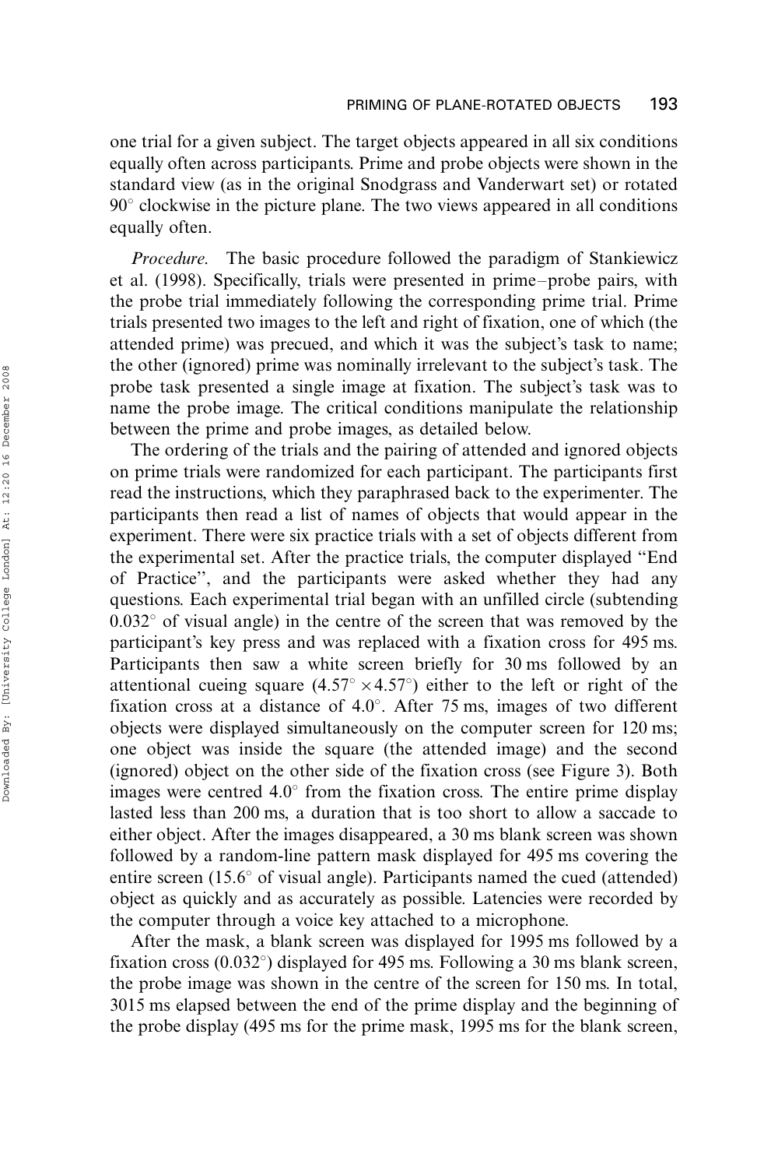one trial for a given subject. The target objects appeared in all six conditions equally often across participants. Prime and probe objects were shown in the standard view (as in the original Snodgrass and Vanderwart set) or rotated  $90^\circ$  clockwise in the picture plane. The two views appeared in all conditions equally often.

Procedure. The basic procedure followed the paradigm of Stankiewicz et al. (1998). Specifically, trials were presented in prime-probe pairs, with the probe trial immediately following the corresponding prime trial. Prime trials presented two images to the left and right of fixation, one of which (the attended prime) was precued, and which it was the subject's task to name; the other (ignored) prime was nominally irrelevant to the subject's task. The probe task presented a single image at fixation. The subject's task was to name the probe image. The critical conditions manipulate the relationship between the prime and probe images, as detailed below.

The ordering of the trials and the pairing of attended and ignored objects on prime trials were randomized for each participant. The participants first read the instructions, which they paraphrased back to the experimenter. The participants then read a list of names of objects that would appear in the experiment. There were six practice trials with a set of objects different from the experimental set. After the practice trials, the computer displayed ''End of Practice'', and the participants were asked whether they had any questions. Each experimental trial began with an unfilled circle (subtending  $0.032^{\circ}$  of visual angle) in the centre of the screen that was removed by the participant's key press and was replaced with a fixation cross for 495 ms. Participants then saw a white screen briefly for 30 ms followed by an attentional cueing square  $(4.57^{\circ} \times 4.57^{\circ})$  either to the left or right of the fixation cross at a distance of  $4.0^{\circ}$ . After 75 ms, images of two different objects were displayed simultaneously on the computer screen for 120 ms; one object was inside the square (the attended image) and the second (ignored) object on the other side of the fixation cross (see Figure 3). Both images were centred  $4.0^{\circ}$  from the fixation cross. The entire prime display lasted less than 200 ms, a duration that is too short to allow a saccade to either object. After the images disappeared, a 30 ms blank screen was shown followed by a random-line pattern mask displayed for 495 ms covering the entire screen (15.6 $\degree$  of visual angle). Participants named the cued (attended) object as quickly and as accurately as possible. Latencies were recorded by the computer through a voice key attached to a microphone.

After the mask, a blank screen was displayed for 1995 ms followed by a fixation cross  $(0.032^{\circ})$  displayed for 495 ms. Following a 30 ms blank screen, the probe image was shown in the centre of the screen for 150 ms. In total, 3015 ms elapsed between the end of the prime display and the beginning of the probe display (495 ms for the prime mask, 1995 ms for the blank screen,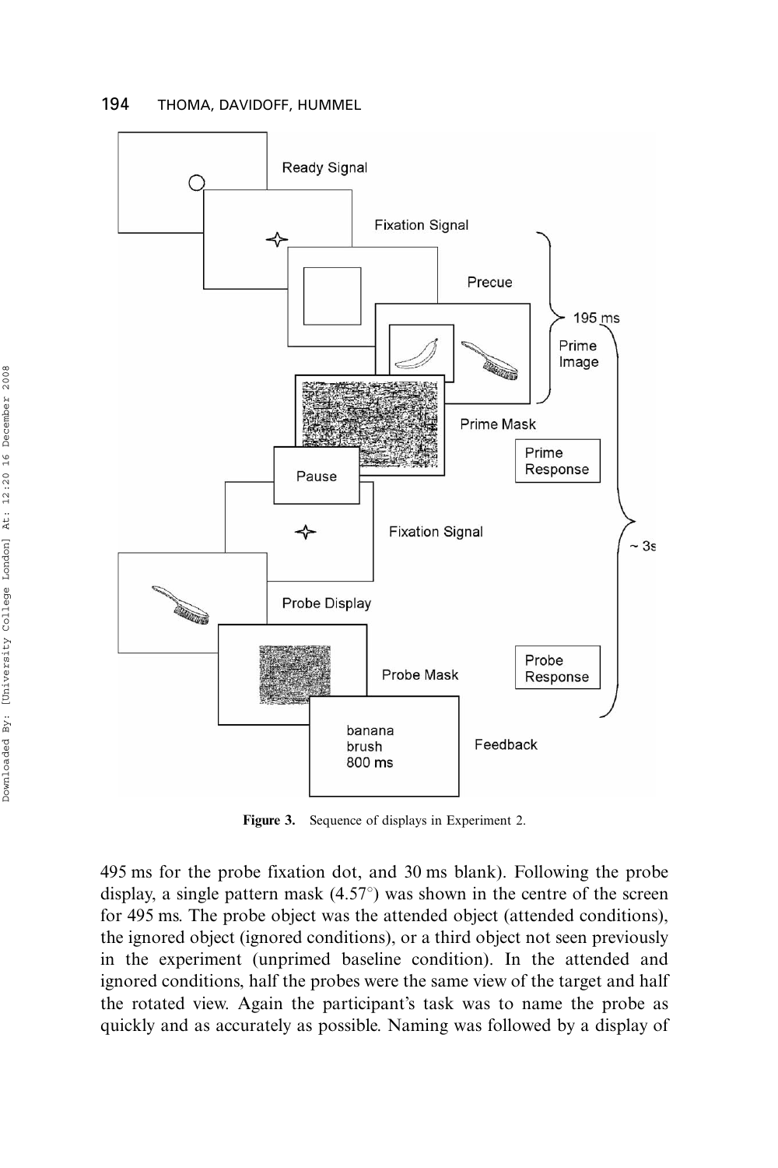

Figure 3. Sequence of displays in Experiment 2.

495 ms for the probe fixation dot, and 30 ms blank). Following the probe display, a single pattern mask  $(4.57^{\circ})$  was shown in the centre of the screen for 495 ms. The probe object was the attended object (attended conditions), the ignored object (ignored conditions), or a third object not seen previously in the experiment (unprimed baseline condition). In the attended and ignored conditions, half the probes were the same view of the target and half the rotated view. Again the participant's task was to name the probe as quickly and as accurately as possible. Naming was followed by a display of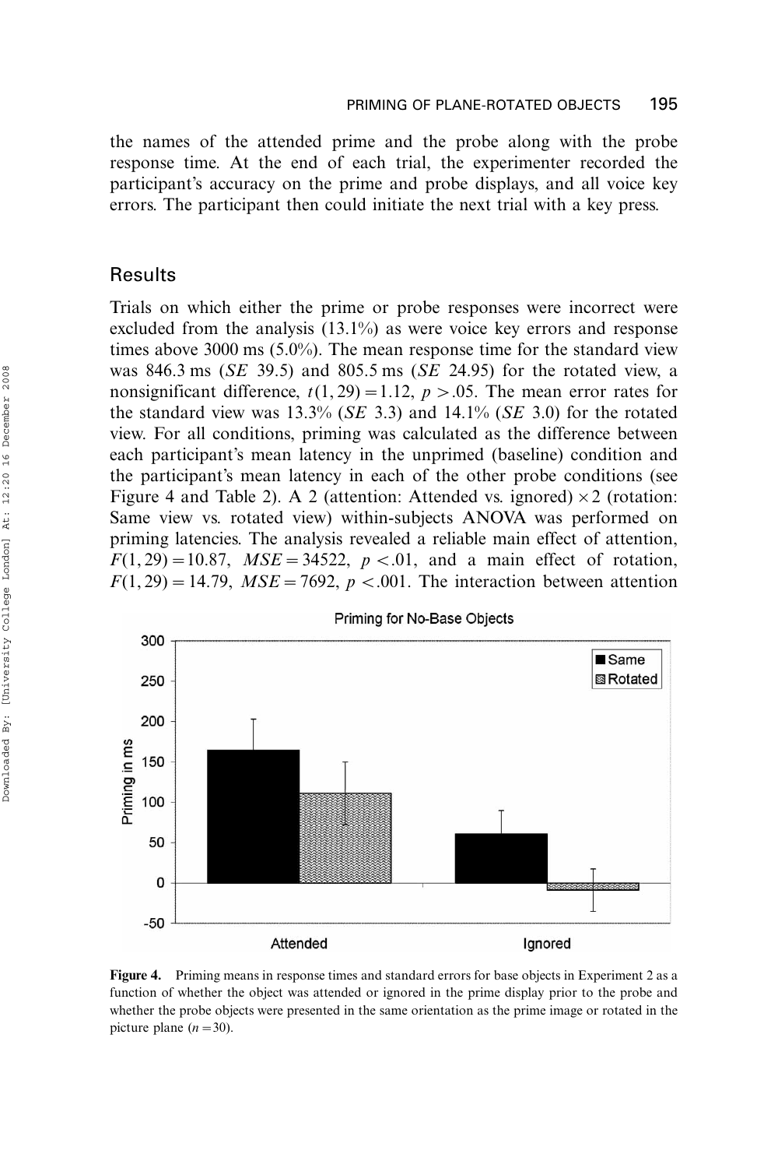the names of the attended prime and the probe along with the probe response time. At the end of each trial, the experimenter recorded the participant's accuracy on the prime and probe displays, and all voice key errors. The participant then could initiate the next trial with a key press.

### Results

Trials on which either the prime or probe responses were incorrect were excluded from the analysis (13.1%) as were voice key errors and response times above 3000 ms (5.0%). The mean response time for the standard view was 846.3 ms ( $SE$  39.5) and 805.5 ms ( $SE$  24.95) for the rotated view, a nonsignificant difference,  $t(1, 29) = 1.12$ ,  $p > 0.05$ . The mean error rates for the standard view was  $13.3\%$  (*SE* 3.3) and  $14.1\%$  (*SE* 3.0) for the rotated view. For all conditions, priming was calculated as the difference between each participant's mean latency in the unprimed (baseline) condition and the participant's mean latency in each of the other probe conditions (see Figure 4 and Table 2). A 2 (attention: Attended vs. ignored)  $\times$  2 (rotation: Same view vs. rotated view) within-subjects ANOVA was performed on priming latencies. The analysis revealed a reliable main effect of attention,  $F(1, 29) = 10.87$ ,  $MSE = 34522$ ,  $p < .01$ , and a main effect of rotation,  $F(1, 29) = 14.79$ ,  $MSE = 7692$ ,  $p < .001$ . The interaction between attention



Figure 4. Priming means in response times and standard errors for base objects in Experiment 2 as a function of whether the object was attended or ignored in the prime display prior to the probe and whether the probe objects were presented in the same orientation as the prime image or rotated in the picture plane  $(n=30)$ .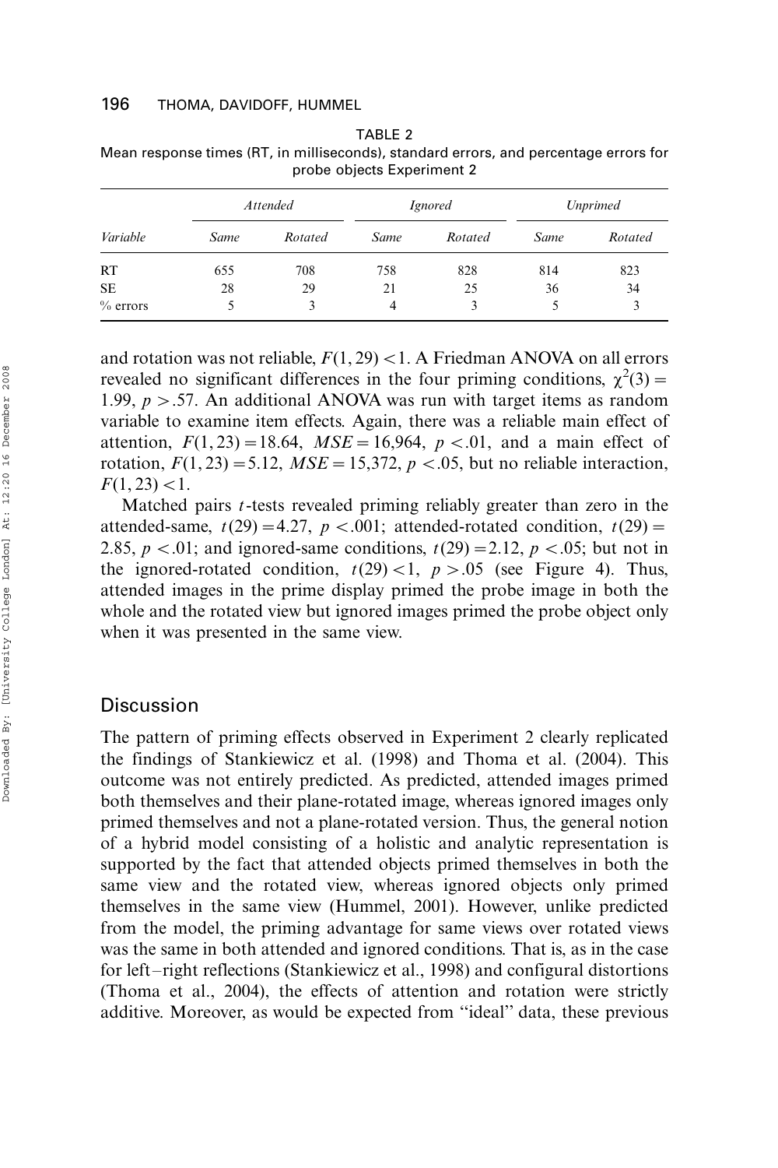| Variable   | <b>Attended</b> |         |      | <i>Ignored</i> | <b>Unprimed</b> |         |
|------------|-----------------|---------|------|----------------|-----------------|---------|
|            | Same            | Rotated | Same | Rotated        | Same            | Rotated |
| RT         | 655             | 708     | 758  | 828            | 814             | 823     |
| <b>SE</b>  | 28              | 29      | 21   | 25             | 36              | 34      |
| $%$ errors |                 | 3       | 4    |                | 5               | 3       |

TABLE 2 Mean response times (RT, in milliseconds), standard errors, and percentage errors for probe objects Experiment 2

and rotation was not reliable,  $F(1, 29) < 1$ . A Friedman ANOVA on all errors revealed no significant differences in the four priming conditions,  $\chi^2(3)$  = 1.99,  $p > .57$ . An additional ANOVA was run with target items as random variable to examine item effects. Again, there was a reliable main effect of attention,  $F(1, 23) = 18.64$ ,  $MSE = 16,964$ ,  $p < .01$ , and a main effect of rotation,  $F(1, 23) = 5.12$ ,  $MSE = 15,372$ ,  $p < .05$ , but no reliable interaction,  $F(1, 23)$  < 1.

Matched pairs *t*-tests revealed priming reliably greater than zero in the attended-same,  $t(29) = 4.27$ ,  $p < .001$ ; attended-rotated condition,  $t(29) =$ 2.85,  $p < .01$ ; and ignored-same conditions,  $t(29) = 2.12$ ,  $p < .05$ ; but not in the ignored-rotated condition,  $t(29) < 1$ ,  $p > .05$  (see Figure 4). Thus, attended images in the prime display primed the probe image in both the whole and the rotated view but ignored images primed the probe object only when it was presented in the same view.

# **Discussion**

The pattern of priming effects observed in Experiment 2 clearly replicated the findings of Stankiewicz et al. (1998) and Thoma et al. (2004). This outcome was not entirely predicted. As predicted, attended images primed both themselves and their plane-rotated image, whereas ignored images only primed themselves and not a plane-rotated version. Thus, the general notion of a hybrid model consisting of a holistic and analytic representation is supported by the fact that attended objects primed themselves in both the same view and the rotated view, whereas ignored objects only primed themselves in the same view (Hummel, 2001). However, unlike predicted from the model, the priming advantage for same views over rotated views was the same in both attended and ignored conditions. That is, as in the case for left-right reflections (Stankiewicz et al., 1998) and configural distortions (Thoma et al., 2004), the effects of attention and rotation were strictly additive. Moreover, as would be expected from ''ideal'' data, these previous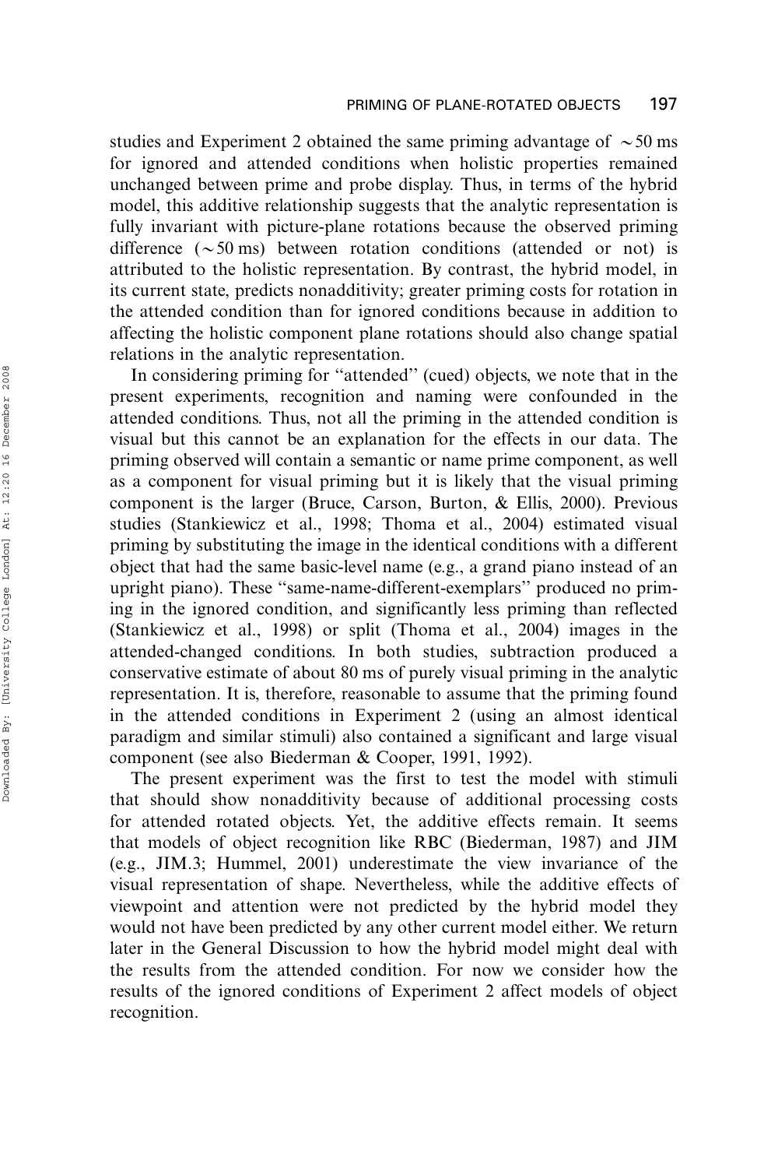studies and Experiment 2 obtained the same priming advantage of  $\sim$  50 ms for ignored and attended conditions when holistic properties remained unchanged between prime and probe display. Thus, in terms of the hybrid model, this additive relationship suggests that the analytic representation is fully invariant with picture-plane rotations because the observed priming difference  $({\sim}50 \text{ ms})$  between rotation conditions (attended or not) is attributed to the holistic representation. By contrast, the hybrid model, in its current state, predicts nonadditivity; greater priming costs for rotation in the attended condition than for ignored conditions because in addition to affecting the holistic component plane rotations should also change spatial relations in the analytic representation.

In considering priming for ''attended'' (cued) objects, we note that in the present experiments, recognition and naming were confounded in the attended conditions. Thus, not all the priming in the attended condition is visual but this cannot be an explanation for the effects in our data. The priming observed will contain a semantic or name prime component, as well as a component for visual priming but it is likely that the visual priming component is the larger (Bruce, Carson, Burton, & Ellis, 2000). Previous studies (Stankiewicz et al., 1998; Thoma et al., 2004) estimated visual priming by substituting the image in the identical conditions with a different object that had the same basic-level name (e.g., a grand piano instead of an upright piano). These ''same-name-different-exemplars'' produced no priming in the ignored condition, and significantly less priming than reflected (Stankiewicz et al., 1998) or split (Thoma et al., 2004) images in the attended-changed conditions. In both studies, subtraction produced a conservative estimate of about 80 ms of purely visual priming in the analytic representation. It is, therefore, reasonable to assume that the priming found in the attended conditions in Experiment 2 (using an almost identical paradigm and similar stimuli) also contained a significant and large visual component (see also Biederman & Cooper, 1991, 1992).

The present experiment was the first to test the model with stimuli that should show nonadditivity because of additional processing costs for attended rotated objects. Yet, the additive effects remain. It seems that models of object recognition like RBC (Biederman, 1987) and JIM (e.g., JIM.3; Hummel, 2001) underestimate the view invariance of the visual representation of shape. Nevertheless, while the additive effects of viewpoint and attention were not predicted by the hybrid model they would not have been predicted by any other current model either. We return later in the General Discussion to how the hybrid model might deal with the results from the attended condition. For now we consider how the results of the ignored conditions of Experiment 2 affect models of object recognition.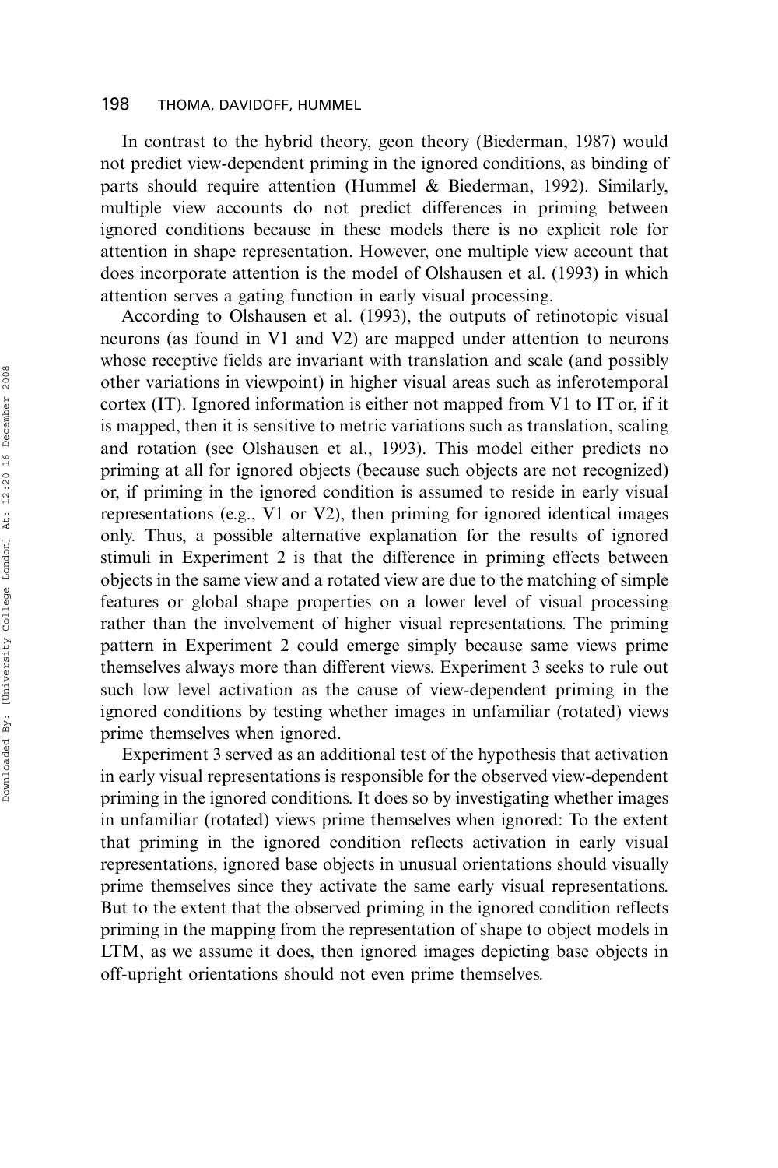In contrast to the hybrid theory, geon theory (Biederman, 1987) would not predict view-dependent priming in the ignored conditions, as binding of parts should require attention (Hummel & Biederman, 1992). Similarly, multiple view accounts do not predict differences in priming between ignored conditions because in these models there is no explicit role for attention in shape representation. However, one multiple view account that does incorporate attention is the model of Olshausen et al. (1993) in which attention serves a gating function in early visual processing.

According to Olshausen et al. (1993), the outputs of retinotopic visual neurons (as found in V1 and V2) are mapped under attention to neurons whose receptive fields are invariant with translation and scale (and possibly other variations in viewpoint) in higher visual areas such as inferotemporal cortex (IT). Ignored information is either not mapped from V1 to IT or, if it is mapped, then it is sensitive to metric variations such as translation, scaling and rotation (see Olshausen et al., 1993). This model either predicts no priming at all for ignored objects (because such objects are not recognized) or, if priming in the ignored condition is assumed to reside in early visual representations (e.g., V1 or V2), then priming for ignored identical images only. Thus, a possible alternative explanation for the results of ignored stimuli in Experiment 2 is that the difference in priming effects between objects in the same view and a rotated view are due to the matching of simple features or global shape properties on a lower level of visual processing rather than the involvement of higher visual representations. The priming pattern in Experiment 2 could emerge simply because same views prime themselves always more than different views. Experiment 3 seeks to rule out such low level activation as the cause of view-dependent priming in the ignored conditions by testing whether images in unfamiliar (rotated) views prime themselves when ignored.

Experiment 3 served as an additional test of the hypothesis that activation in early visual representations is responsible for the observed view-dependent priming in the ignored conditions. It does so by investigating whether images in unfamiliar (rotated) views prime themselves when ignored: To the extent that priming in the ignored condition reflects activation in early visual representations, ignored base objects in unusual orientations should visually prime themselves since they activate the same early visual representations. But to the extent that the observed priming in the ignored condition reflects priming in the mapping from the representation of shape to object models in LTM, as we assume it does, then ignored images depicting base objects in off-upright orientations should not even prime themselves.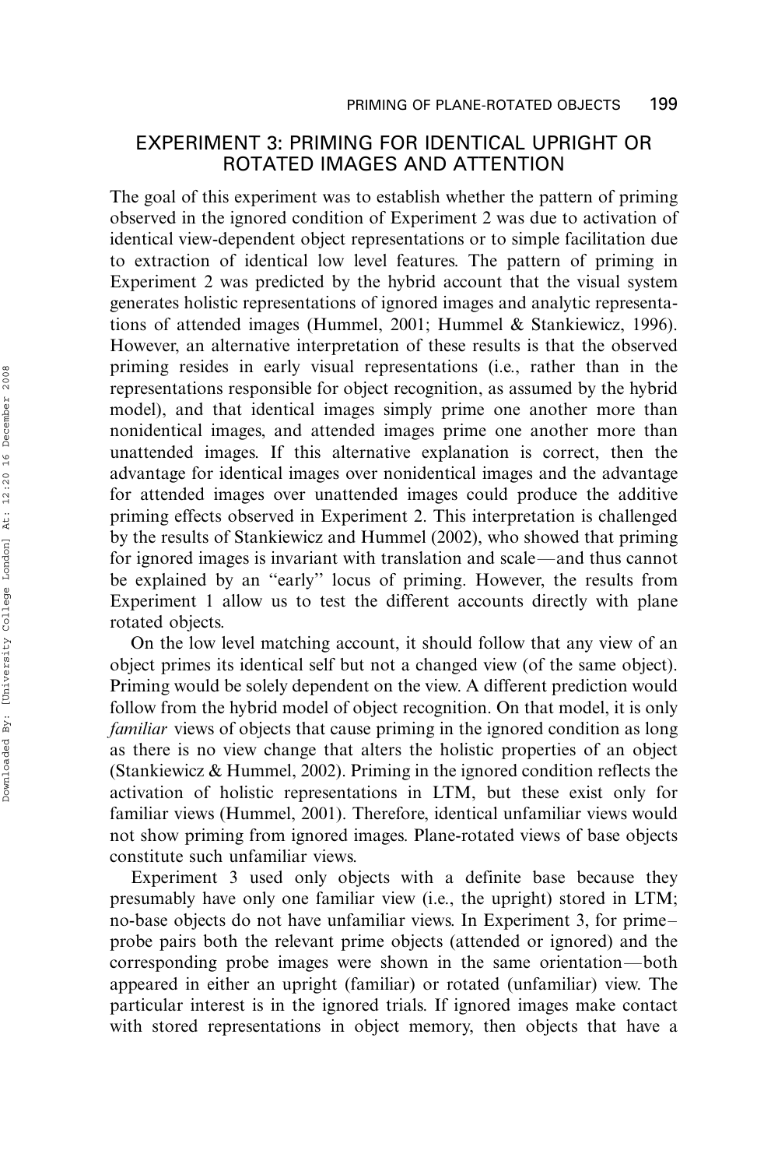# EXPERIMENT 3: PRIMING FOR IDENTICAL UPRIGHT OR ROTATED IMAGES AND ATTENTION

The goal of this experiment was to establish whether the pattern of priming observed in the ignored condition of Experiment 2 was due to activation of identical view-dependent object representations or to simple facilitation due to extraction of identical low level features. The pattern of priming in Experiment 2 was predicted by the hybrid account that the visual system generates holistic representations of ignored images and analytic representations of attended images (Hummel, 2001; Hummel & Stankiewicz, 1996). However, an alternative interpretation of these results is that the observed priming resides in early visual representations (i.e., rather than in the representations responsible for object recognition, as assumed by the hybrid model), and that identical images simply prime one another more than nonidentical images, and attended images prime one another more than unattended images. If this alternative explanation is correct, then the advantage for identical images over nonidentical images and the advantage for attended images over unattended images could produce the additive priming effects observed in Experiment 2. This interpretation is challenged by the results of Stankiewicz and Hummel (2002), who showed that priming for ignored images is invariant with translation and scale—and thus cannot be explained by an ''early'' locus of priming. However, the results from Experiment 1 allow us to test the different accounts directly with plane rotated objects.

On the low level matching account, it should follow that any view of an object primes its identical self but not a changed view (of the same object). Priming would be solely dependent on the view. A different prediction would follow from the hybrid model of object recognition. On that model, it is only familiar views of objects that cause priming in the ignored condition as long as there is no view change that alters the holistic properties of an object (Stankiewicz & Hummel, 2002). Priming in the ignored condition reflects the activation of holistic representations in LTM, but these exist only for familiar views (Hummel, 2001). Therefore, identical unfamiliar views would not show priming from ignored images. Plane-rotated views of base objects constitute such unfamiliar views.

Experiment 3 used only objects with a definite base because they presumably have only one familiar view (i.e., the upright) stored in LTM; no-base objects do not have unfamiliar views. In Experiment 3, for prime probe pairs both the relevant prime objects (attended or ignored) and the corresponding probe images were shown in the same orientation—both appeared in either an upright (familiar) or rotated (unfamiliar) view. The particular interest is in the ignored trials. If ignored images make contact with stored representations in object memory, then objects that have a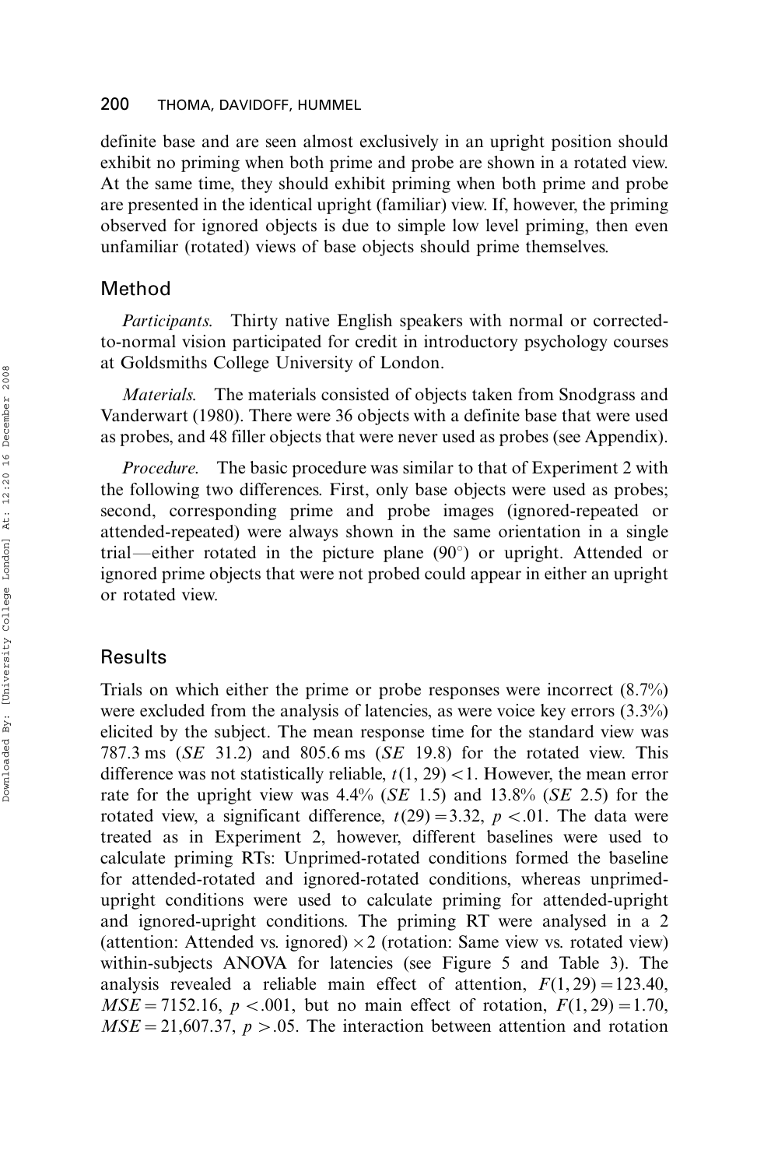definite base and are seen almost exclusively in an upright position should exhibit no priming when both prime and probe are shown in a rotated view. At the same time, they should exhibit priming when both prime and probe are presented in the identical upright (familiar) view. If, however, the priming observed for ignored objects is due to simple low level priming, then even unfamiliar (rotated) views of base objects should prime themselves.

# Method

Participants. Thirty native English speakers with normal or correctedto-normal vision participated for credit in introductory psychology courses at Goldsmiths College University of London.

Materials. The materials consisted of objects taken from Snodgrass and Vanderwart (1980). There were 36 objects with a definite base that were used as probes, and 48 filler objects that were never used as probes (see Appendix).

Procedure. The basic procedure was similar to that of Experiment 2 with the following two differences. First, only base objects were used as probes; second, corresponding prime and probe images (ignored-repeated or attended-repeated) were always shown in the same orientation in a single trial—either rotated in the picture plane  $(90^\circ)$  or upright. Attended or ignored prime objects that were not probed could appear in either an upright or rotated view.

# Results

Trials on which either the prime or probe responses were incorrect (8.7%) were excluded from the analysis of latencies, as were voice key errors (3.3%) elicited by the subject. The mean response time for the standard view was 787.3 ms (SE 31.2) and 805.6 ms (SE 19.8) for the rotated view. This difference was not statistically reliable,  $t(1, 29)$  < 1. However, the mean error rate for the upright view was  $4.4\%$  (*SE* 1.5) and  $13.8\%$  (*SE* 2.5) for the rotated view, a significant difference,  $t(29) = 3.32$ ,  $p < .01$ . The data were treated as in Experiment 2, however, different baselines were used to calculate priming RTs: Unprimed-rotated conditions formed the baseline for attended-rotated and ignored-rotated conditions, whereas unprimedupright conditions were used to calculate priming for attended-upright and ignored-upright conditions. The priming RT were analysed in a 2 (attention: Attended vs. ignored)  $\times$  2 (rotation: Same view vs. rotated view) within-subjects ANOVA for latencies (see Figure 5 and Table 3). The analysis revealed a reliable main effect of attention,  $F(1, 29) = 123.40$ ,  $MSE = 7152.16, p < .001$ , but no main effect of rotation,  $F(1, 29) = 1.70$ ,  $MSE = 21,607.37, p > .05.$  The interaction between attention and rotation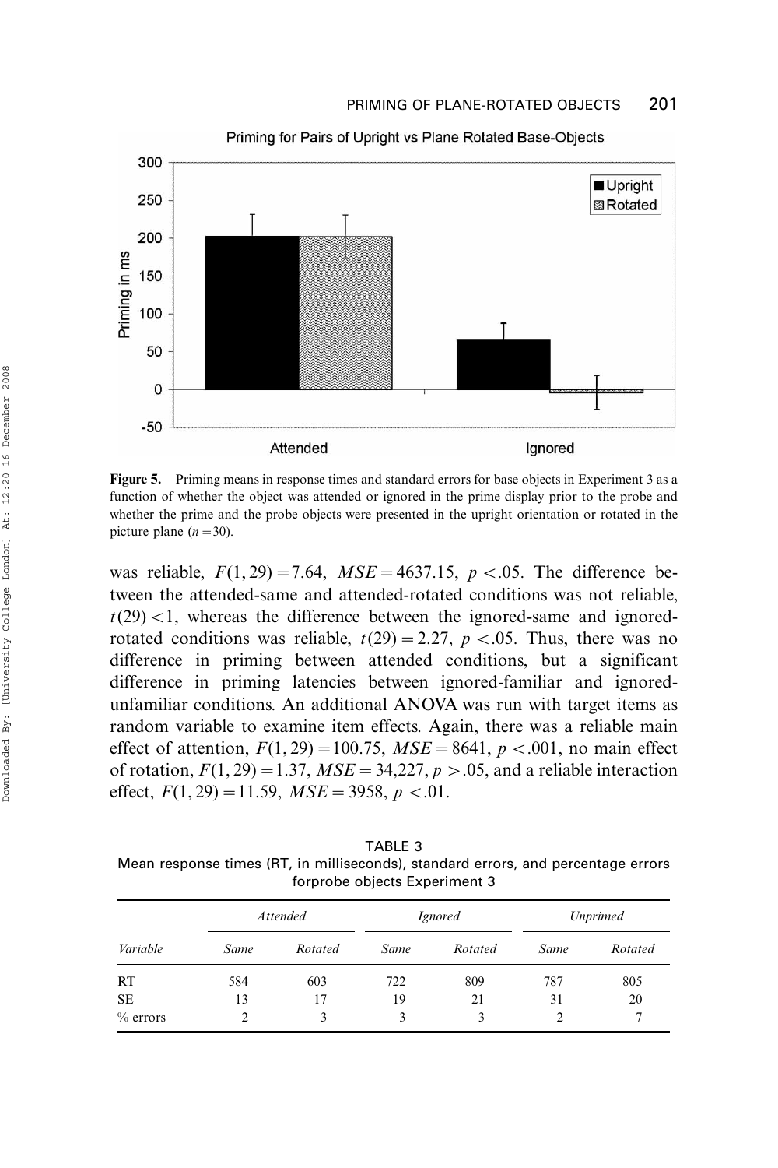

Figure 5. Priming means in response times and standard errors for base objects in Experiment 3 as a function of whether the object was attended or ignored in the prime display prior to the probe and whether the prime and the probe objects were presented in the upright orientation or rotated in the picture plane  $(n=30)$ .

was reliable,  $F(1, 29) = 7.64$ ,  $MSE = 4637.15$ ,  $p < .05$ . The difference between the attended-same and attended-rotated conditions was not reliable,  $t(29)$  < 1, whereas the difference between the ignored-same and ignoredrotated conditions was reliable,  $t(29) = 2.27$ ,  $p < .05$ . Thus, there was no difference in priming between attended conditions, but a significant difference in priming latencies between ignored-familiar and ignoredunfamiliar conditions. An additional ANOVA was run with target items as random variable to examine item effects. Again, there was a reliable main effect of attention,  $F(1, 29) = 100.75$ ,  $MSE = 8641$ ,  $p < .001$ , no main effect of rotation,  $F(1, 29) = 1.37$ ,  $MSE = 34,227$ ,  $p > .05$ , and a reliable interaction effect,  $F(1, 29) = 11.59$ ,  $MSE = 3958$ ,  $p < .01$ .

TABLE 3 Mean response times (RT, in milliseconds), standard errors, and percentage errors forprobe objects Experiment 3

| Variable   | <b>Attended</b> |         |      | <i>Ignored</i> | <b>Unprimed</b> |         |
|------------|-----------------|---------|------|----------------|-----------------|---------|
|            | Same            | Rotated | Same | Rotated        | Same            | Rotated |
| <b>RT</b>  | 584             | 603     | 722  | 809            | 787             | 805     |
| <b>SE</b>  | 13              | 17      | 19   | 21             | 31              | 20      |
| $%$ errors |                 | 3       | 3    |                |                 | 7       |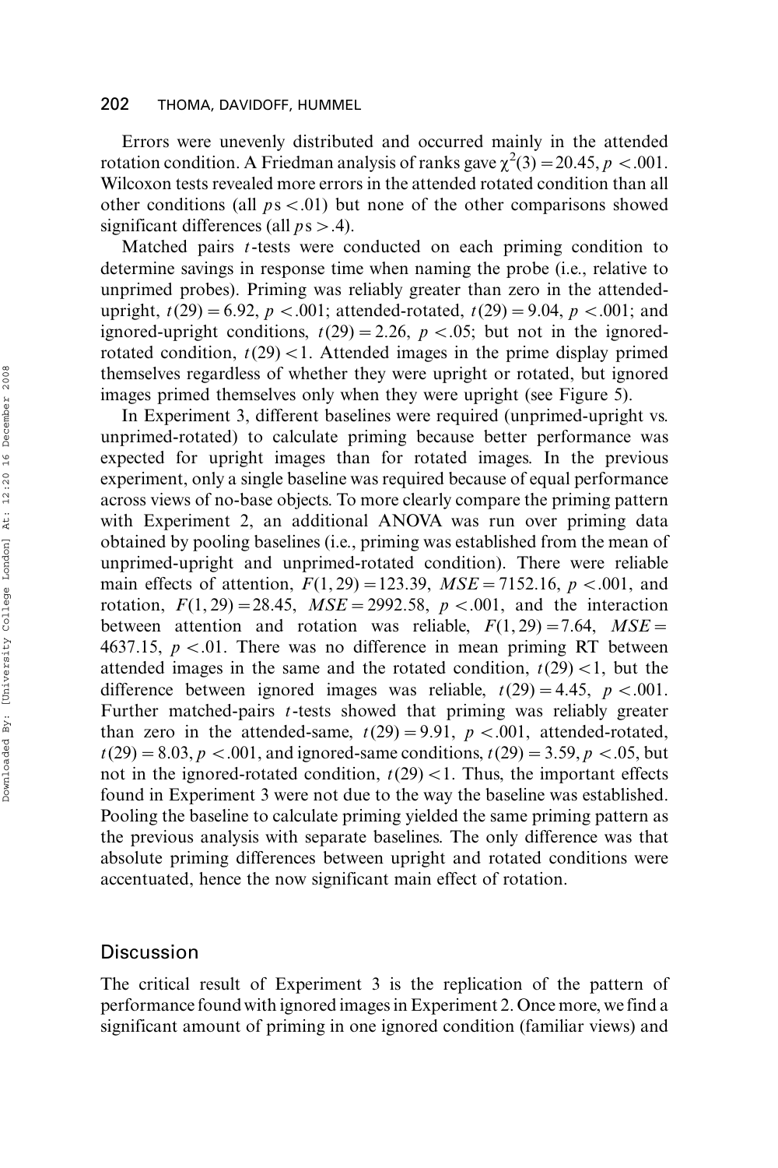Errors were unevenly distributed and occurred mainly in the attended rotation condition. A Friedman analysis of ranks gave  $\chi^2(3) = 20.45$ ,  $p < .001$ . Wilcoxon tests revealed more errors in the attended rotated condition than all other conditions (all  $ps < .01$ ) but none of the other comparisons showed significant differences (all  $ps > .4$ ).

Matched pairs t-tests were conducted on each priming condition to determine savings in response time when naming the probe (i.e., relative to unprimed probes). Priming was reliably greater than zero in the attendedupright,  $t(29) = 6.92$ ,  $p < .001$ ; attended-rotated,  $t(29) = 9.04$ ,  $p < .001$ ; and ignored-upright conditions,  $t(29) = 2.26$ ,  $p < .05$ ; but not in the ignoredrotated condition,  $t(29)$  < 1. Attended images in the prime display primed themselves regardless of whether they were upright or rotated, but ignored images primed themselves only when they were upright (see Figure 5).

In Experiment 3, different baselines were required (unprimed-upright vs. unprimed-rotated) to calculate priming because better performance was expected for upright images than for rotated images. In the previous experiment, only a single baseline was required because of equal performance across views of no-base objects. To more clearly compare the priming pattern with Experiment 2, an additional ANOVA was run over priming data obtained by pooling baselines (i.e., priming was established from the mean of unprimed-upright and unprimed-rotated condition). There were reliable main effects of attention,  $F(1, 29) = 123.39$ ,  $MSE = 7152.16$ , p <.001, and rotation,  $F(1, 29) = 28.45$ ,  $MSE = 2992.58$ ,  $p < .001$ , and the interaction between attention and rotation was reliable,  $F(1, 29) = 7.64$ ,  $MSE =$ 4637.15,  $p < 0.01$ . There was no difference in mean priming RT between attended images in the same and the rotated condition,  $t(29)$  < 1, but the difference between ignored images was reliable,  $t(29) = 4.45$ ,  $p < .001$ . Further matched-pairs t-tests showed that priming was reliably greater than zero in the attended-same,  $t(29) = 9.91$ ,  $p < .001$ , attended-rotated,  $t(29) = 8.03, p < .001$ , and ignored-same conditions,  $t(29) = 3.59, p < .05$ , but not in the ignored-rotated condition,  $t(29) < 1$ . Thus, the important effects found in Experiment 3 were not due to the way the baseline was established. Pooling the baseline to calculate priming yielded the same priming pattern as the previous analysis with separate baselines. The only difference was that absolute priming differences between upright and rotated conditions were accentuated, hence the now significant main effect of rotation.

### **Discussion**

The critical result of Experiment 3 is the replication of the pattern of performance found with ignored images in Experiment 2. Once more, we find a significant amount of priming in one ignored condition (familiar views) and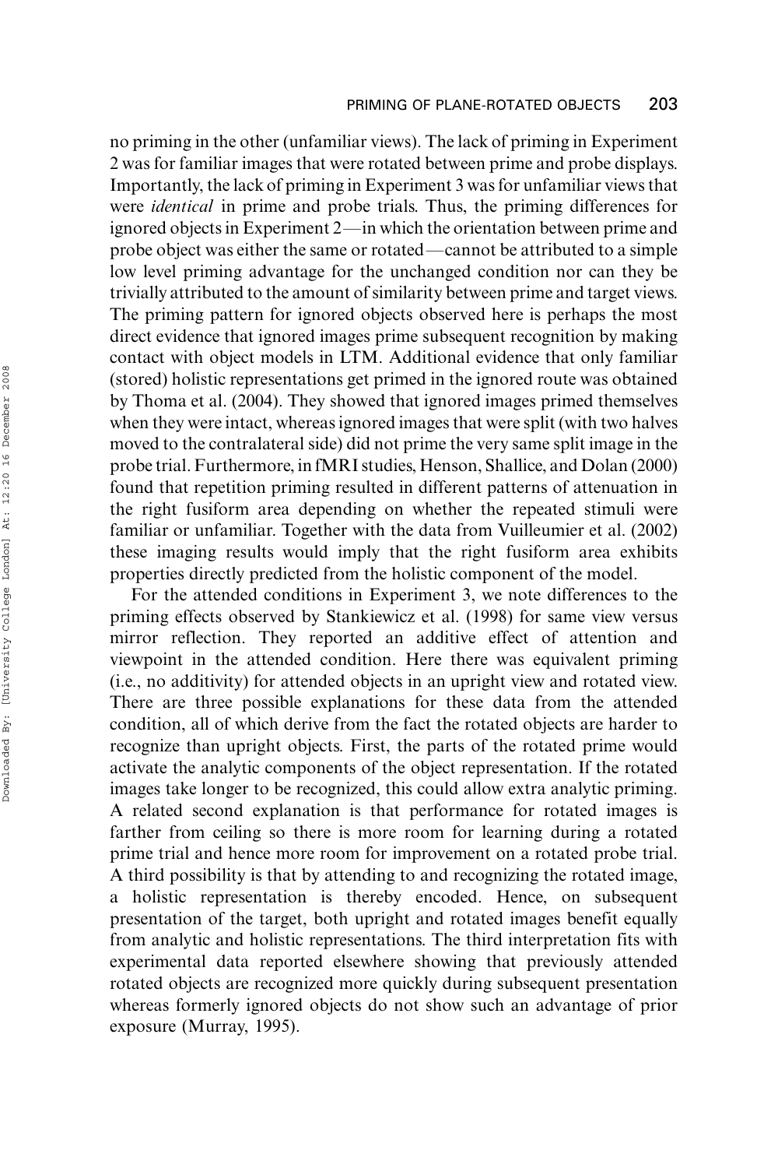no priming in the other (unfamiliar views). The lack of priming in Experiment 2 was for familiar images that were rotated between prime and probe displays. Importantly, the lack of priming in Experiment 3 was for unfamiliar views that were identical in prime and probe trials. Thus, the priming differences for ignored objects in Experiment 2—in which the orientation between prime and probe object was either the same or rotated\*cannot be attributed to a simple low level priming advantage for the unchanged condition nor can they be trivially attributed to the amount of similarity between prime and target views. The priming pattern for ignored objects observed here is perhaps the most direct evidence that ignored images prime subsequent recognition by making contact with object models in LTM. Additional evidence that only familiar (stored) holistic representations get primed in the ignored route was obtained by Thoma et al. (2004). They showed that ignored images primed themselves when they were intact, whereas ignored images that were split (with two halves moved to the contralateral side) did not prime the very same split image in the probe trial. Furthermore, in fMRI studies, Henson, Shallice, and Dolan (2000) found that repetition priming resulted in different patterns of attenuation in the right fusiform area depending on whether the repeated stimuli were familiar or unfamiliar. Together with the data from Vuilleumier et al. (2002) these imaging results would imply that the right fusiform area exhibits properties directly predicted from the holistic component of the model.

For the attended conditions in Experiment 3, we note differences to the priming effects observed by Stankiewicz et al. (1998) for same view versus mirror reflection. They reported an additive effect of attention and viewpoint in the attended condition. Here there was equivalent priming (i.e., no additivity) for attended objects in an upright view and rotated view. There are three possible explanations for these data from the attended condition, all of which derive from the fact the rotated objects are harder to recognize than upright objects. First, the parts of the rotated prime would activate the analytic components of the object representation. If the rotated images take longer to be recognized, this could allow extra analytic priming. A related second explanation is that performance for rotated images is farther from ceiling so there is more room for learning during a rotated prime trial and hence more room for improvement on a rotated probe trial. A third possibility is that by attending to and recognizing the rotated image, a holistic representation is thereby encoded. Hence, on subsequent presentation of the target, both upright and rotated images benefit equally from analytic and holistic representations. The third interpretation fits with experimental data reported elsewhere showing that previously attended rotated objects are recognized more quickly during subsequent presentation whereas formerly ignored objects do not show such an advantage of prior exposure (Murray, 1995).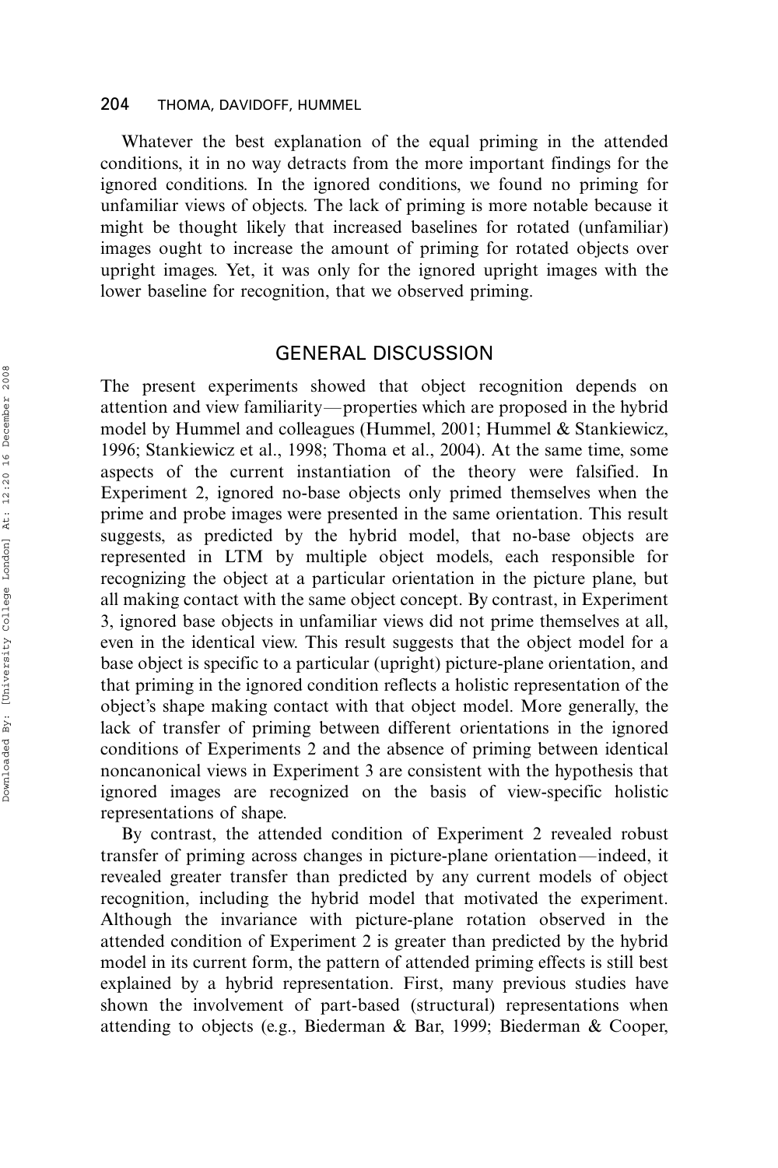Whatever the best explanation of the equal priming in the attended conditions, it in no way detracts from the more important findings for the ignored conditions. In the ignored conditions, we found no priming for unfamiliar views of objects. The lack of priming is more notable because it might be thought likely that increased baselines for rotated (unfamiliar) images ought to increase the amount of priming for rotated objects over upright images. Yet, it was only for the ignored upright images with the lower baseline for recognition, that we observed priming.

# GENERAL DISCUSSION

The present experiments showed that object recognition depends on attention and view familiarity—properties which are proposed in the hybrid model by Hummel and colleagues (Hummel, 2001; Hummel & Stankiewicz, 1996; Stankiewicz et al., 1998; Thoma et al., 2004). At the same time, some aspects of the current instantiation of the theory were falsified. In Experiment 2, ignored no-base objects only primed themselves when the prime and probe images were presented in the same orientation. This result suggests, as predicted by the hybrid model, that no-base objects are represented in LTM by multiple object models, each responsible for recognizing the object at a particular orientation in the picture plane, but all making contact with the same object concept. By contrast, in Experiment 3, ignored base objects in unfamiliar views did not prime themselves at all, even in the identical view. This result suggests that the object model for a base object is specific to a particular (upright) picture-plane orientation, and that priming in the ignored condition reflects a holistic representation of the object's shape making contact with that object model. More generally, the lack of transfer of priming between different orientations in the ignored conditions of Experiments 2 and the absence of priming between identical noncanonical views in Experiment 3 are consistent with the hypothesis that ignored images are recognized on the basis of view-specific holistic representations of shape.

By contrast, the attended condition of Experiment 2 revealed robust transfer of priming across changes in picture-plane orientation—indeed, it revealed greater transfer than predicted by any current models of object recognition, including the hybrid model that motivated the experiment. Although the invariance with picture-plane rotation observed in the attended condition of Experiment 2 is greater than predicted by the hybrid model in its current form, the pattern of attended priming effects is still best explained by a hybrid representation. First, many previous studies have shown the involvement of part-based (structural) representations when attending to objects (e.g., Biederman & Bar, 1999; Biederman & Cooper,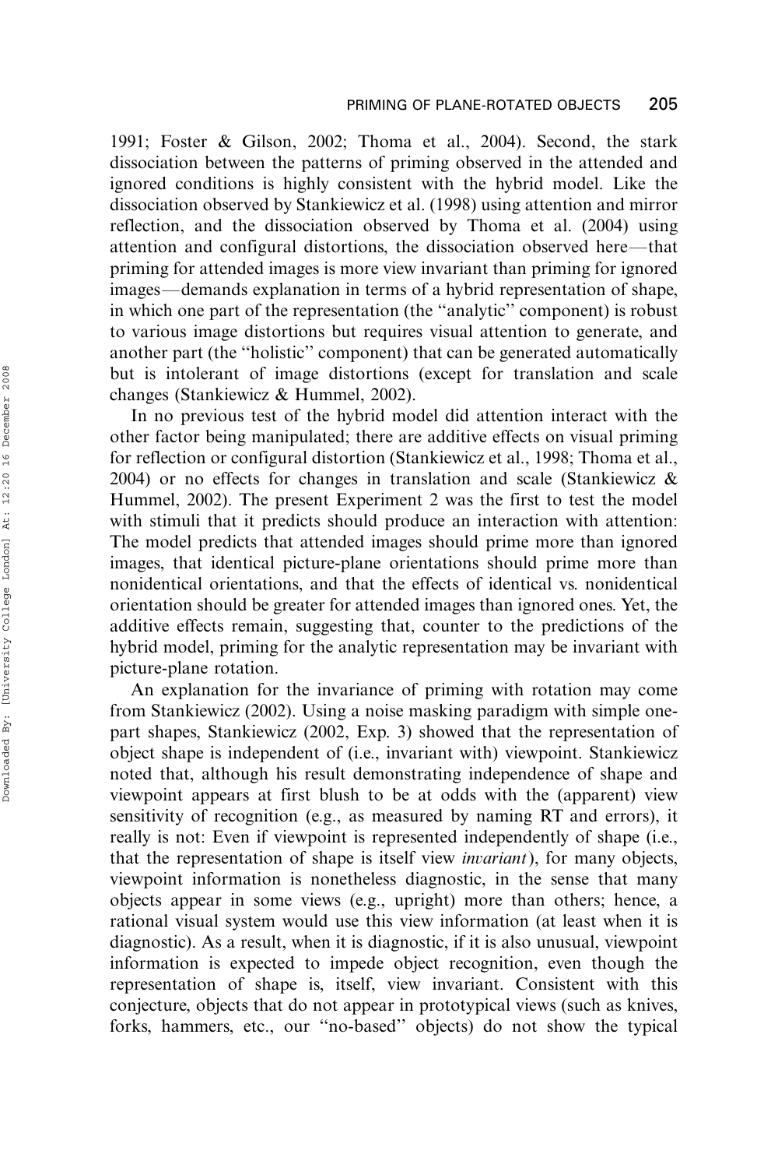1991; Foster & Gilson, 2002; Thoma et al., 2004). Second, the stark dissociation between the patterns of priming observed in the attended and ignored conditions is highly consistent with the hybrid model. Like the dissociation observed by Stankiewicz et al. (1998) using attention and mirror reflection, and the dissociation observed by Thoma et al. (2004) using attention and configural distortions, the dissociation observed here—that priming for attended images is more view invariant than priming for ignored images—demands explanation in terms of a hybrid representation of shape, in which one part of the representation (the ''analytic'' component) is robust to various image distortions but requires visual attention to generate, and another part (the ''holistic'' component) that can be generated automatically but is intolerant of image distortions (except for translation and scale changes (Stankiewicz & Hummel, 2002).

In no previous test of the hybrid model did attention interact with the other factor being manipulated; there are additive effects on visual priming for reflection or configural distortion (Stankiewicz et al., 1998; Thoma et al., 2004) or no effects for changes in translation and scale (Stankiewicz & Hummel, 2002). The present Experiment 2 was the first to test the model with stimuli that it predicts should produce an interaction with attention: The model predicts that attended images should prime more than ignored images, that identical picture-plane orientations should prime more than nonidentical orientations, and that the effects of identical vs. nonidentical orientation should be greater for attended images than ignored ones. Yet, the additive effects remain, suggesting that, counter to the predictions of the hybrid model, priming for the analytic representation may be invariant with picture-plane rotation.

An explanation for the invariance of priming with rotation may come from Stankiewicz (2002). Using a noise masking paradigm with simple onepart shapes, Stankiewicz (2002, Exp. 3) showed that the representation of object shape is independent of (i.e., invariant with) viewpoint. Stankiewicz noted that, although his result demonstrating independence of shape and viewpoint appears at first blush to be at odds with the (apparent) view sensitivity of recognition (e.g., as measured by naming RT and errors), it really is not: Even if viewpoint is represented independently of shape (i.e., that the representation of shape is itself view invariant), for many objects, viewpoint information is nonetheless diagnostic, in the sense that many objects appear in some views (e.g., upright) more than others; hence, a rational visual system would use this view information (at least when it is diagnostic). As a result, when it is diagnostic, if it is also unusual, viewpoint information is expected to impede object recognition, even though the representation of shape is, itself, view invariant. Consistent with this conjecture, objects that do not appear in prototypical views (such as knives, forks, hammers, etc., our ''no-based'' objects) do not show the typical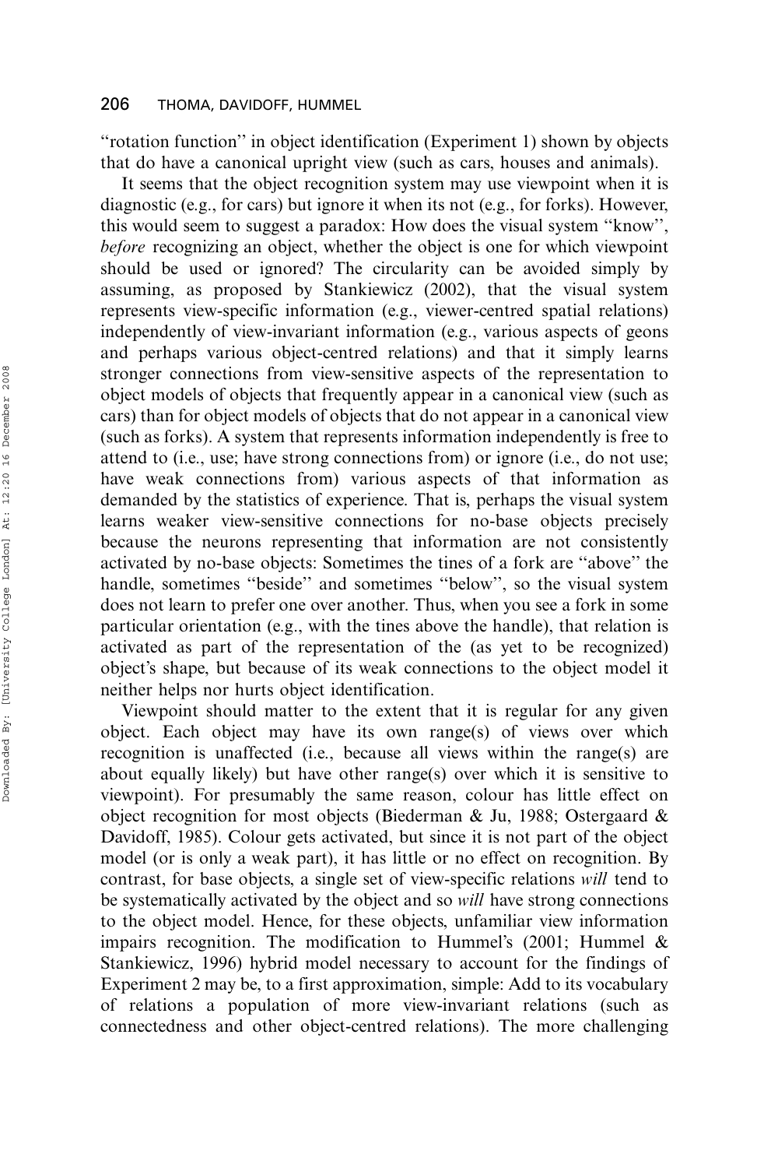''rotation function'' in object identification (Experiment 1) shown by objects that do have a canonical upright view (such as cars, houses and animals).

It seems that the object recognition system may use viewpoint when it is diagnostic (e.g., for cars) but ignore it when its not (e.g., for forks). However, this would seem to suggest a paradox: How does the visual system ''know'', before recognizing an object, whether the object is one for which viewpoint should be used or ignored? The circularity can be avoided simply by assuming, as proposed by Stankiewicz (2002), that the visual system represents view-specific information (e.g., viewer-centred spatial relations) independently of view-invariant information (e.g., various aspects of geons and perhaps various object-centred relations) and that it simply learns stronger connections from view-sensitive aspects of the representation to object models of objects that frequently appear in a canonical view (such as cars) than for object models of objects that do not appear in a canonical view (such as forks). A system that represents information independently is free to attend to (i.e., use; have strong connections from) or ignore (i.e., do not use; have weak connections from) various aspects of that information as demanded by the statistics of experience. That is, perhaps the visual system learns weaker view-sensitive connections for no-base objects precisely because the neurons representing that information are not consistently activated by no-base objects: Sometimes the tines of a fork are ''above'' the handle, sometimes ''beside'' and sometimes ''below'', so the visual system does not learn to prefer one over another. Thus, when you see a fork in some particular orientation (e.g., with the tines above the handle), that relation is activated as part of the representation of the (as yet to be recognized) object's shape, but because of its weak connections to the object model it neither helps nor hurts object identification.

Viewpoint should matter to the extent that it is regular for any given object. Each object may have its own range(s) of views over which recognition is unaffected (i.e., because all views within the range(s) are about equally likely) but have other range(s) over which it is sensitive to viewpoint). For presumably the same reason, colour has little effect on object recognition for most objects (Biederman & Ju, 1988; Ostergaard & Davidoff, 1985). Colour gets activated, but since it is not part of the object model (or is only a weak part), it has little or no effect on recognition. By contrast, for base objects, a single set of view-specific relations will tend to be systematically activated by the object and so will have strong connections to the object model. Hence, for these objects, unfamiliar view information impairs recognition. The modification to Hummel's (2001; Hummel & Stankiewicz, 1996) hybrid model necessary to account for the findings of Experiment 2 may be, to a first approximation, simple: Add to its vocabulary of relations a population of more view-invariant relations (such as connectedness and other object-centred relations). The more challenging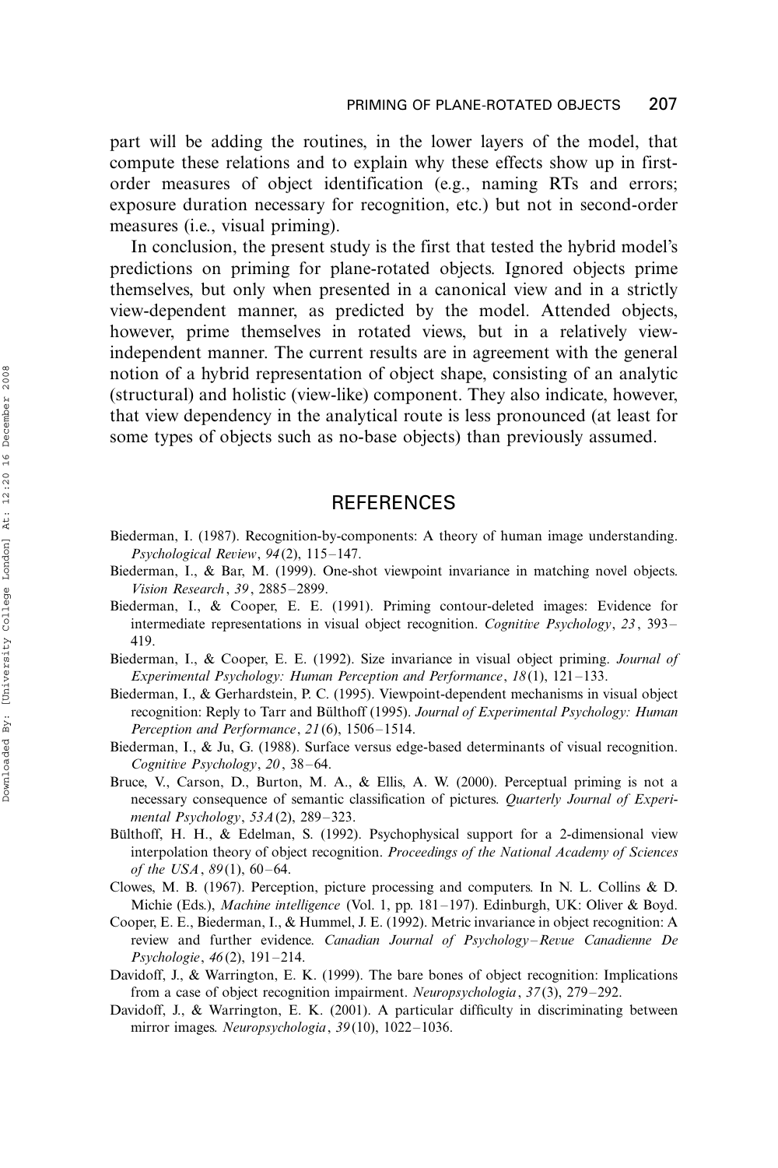part will be adding the routines, in the lower layers of the model, that compute these relations and to explain why these effects show up in firstorder measures of object identification (e.g., naming RTs and errors; exposure duration necessary for recognition, etc.) but not in second-order measures (i.e., visual priming).

In conclusion, the present study is the first that tested the hybrid model's predictions on priming for plane-rotated objects. Ignored objects prime themselves, but only when presented in a canonical view and in a strictly view-dependent manner, as predicted by the model. Attended objects, however, prime themselves in rotated views, but in a relatively viewindependent manner. The current results are in agreement with the general notion of a hybrid representation of object shape, consisting of an analytic (structural) and holistic (view-like) component. They also indicate, however, that view dependency in the analytical route is less pronounced (at least for some types of objects such as no-base objects) than previously assumed.

# **REFERENCES**

- Biederman, I. (1987). Recognition-by-components: A theory of human image understanding. Psychological Review, 94(2), 115-147.
- Biederman, I., & Bar, M. (1999). One-shot viewpoint invariance in matching novel objects. Vision Research , 39, 2885-2899.
- Biederman, I., & Cooper, E. E. (1991). Priming contour-deleted images: Evidence for intermediate representations in visual object recognition. Cognitive Psychology, 23, 393– 419.
- Biederman, I., & Cooper, E. E. (1992). Size invariance in visual object priming. Journal of Experimental Psychology: Human Perception and Performance, 18(1), 121-133.
- Biederman, I., & Gerhardstein, P. C. (1995). Viewpoint-dependent mechanisms in visual object recognition: Reply to Tarr and Bülthoff (1995). Journal of Experimental Psychology: Human Perception and Performance, 21(6), 1506-1514.
- Biederman, I., & Ju, G. (1988). Surface versus edge-based determinants of visual recognition. Cognitive Psychology, 20, 38-64.
- Bruce, V., Carson, D., Burton, M. A., & Ellis, A. W. (2000). Perceptual priming is not a necessary consequence of semantic classification of pictures. Quarterly Journal of Experimental Psychology, 53A(2), 289-323.
- Bülthoff, H. H., & Edelman, S. (1992). Psychophysical support for a 2-dimensional view interpolation theory of object recognition. Proceedings of the National Academy of Sciences of the USA, 89(1), 60-64.
- Clowes, M. B. (1967). Perception, picture processing and computers. In N. L. Collins & D. Michie (Eds.), Machine intelligence (Vol. 1, pp. 181-197). Edinburgh, UK: Oliver & Boyd.
- Cooper, E. E., Biederman, I., & Hummel, J. E. (1992). Metric invariance in object recognition: A review and further evidence. Canadian Journal of Psychology-Revue Canadienne De Psychologie, 46(2), 191-214.
- Davidoff, J., & Warrington, E. K. (1999). The bare bones of object recognition: Implications from a case of object recognition impairment. Neuropsychologia, 37(3), 279-292.
- Davidoff, J., & Warrington, E. K. (2001). A particular difficulty in discriminating between mirror images. Neuropsychologia, 39(10), 1022-1036.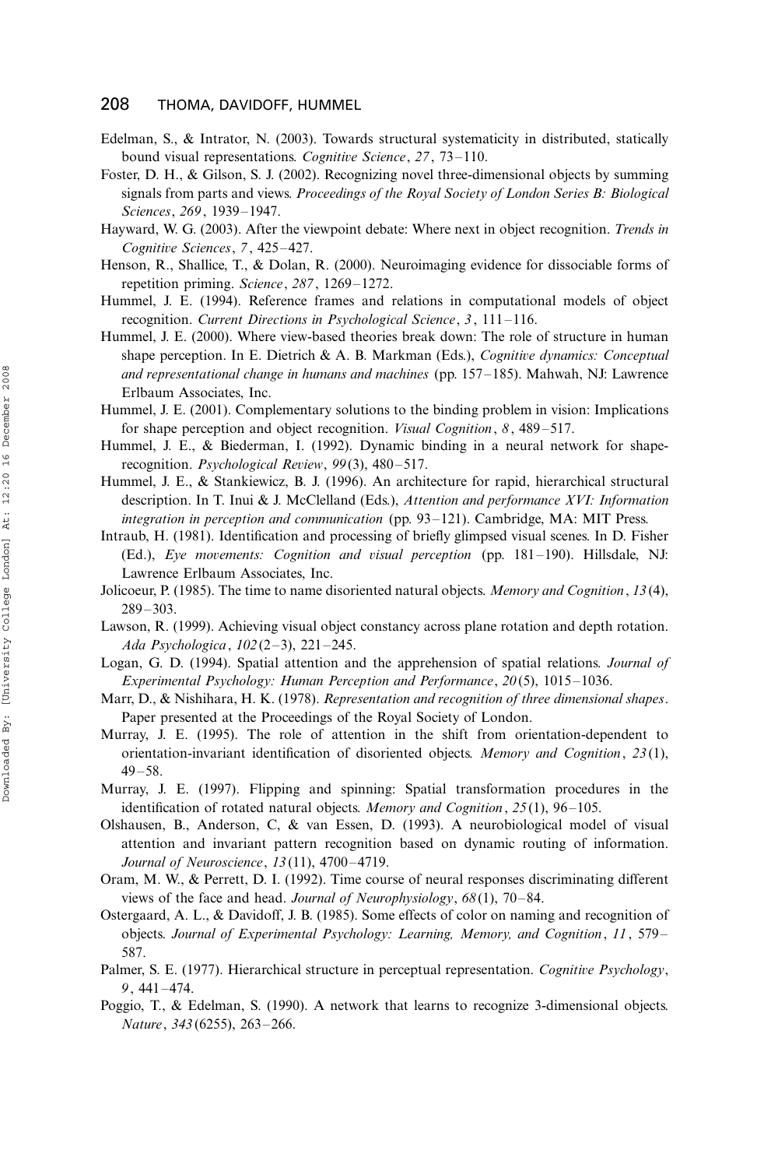- Edelman, S., & Intrator, N. (2003). Towards structural systematicity in distributed, statically bound visual representations. Cognitive Science, 27, 73-110.
- Foster, D. H., & Gilson, S. J. (2002). Recognizing novel three-dimensional objects by summing signals from parts and views. Proceedings of the Royal Society of London Series B: Biological Sciences, 269, 1939-1947.
- Hayward, W. G. (2003). After the viewpoint debate: Where next in object recognition. Trends in Cognitive Sciences, 7, 425-427.
- Henson, R., Shallice, T., & Dolan, R. (2000). Neuroimaging evidence for dissociable forms of repetition priming. Science, 287, 1269-1272.
- Hummel, J. E. (1994). Reference frames and relations in computational models of object recognition. Current Directions in Psychological Science, 3, 111-116.
- Hummel, J. E. (2000). Where view-based theories break down: The role of structure in human shape perception. In E. Dietrich & A. B. Markman (Eds.), Cognitive dynamics: Conceptual and representational change in humans and machines (pp. 157-185). Mahwah, NJ: Lawrence Erlbaum Associates, Inc.
- Hummel, J. E. (2001). Complementary solutions to the binding problem in vision: Implications for shape perception and object recognition. Visual Cognition, 8, 489-517.
- Hummel, J. E., & Biederman, I. (1992). Dynamic binding in a neural network for shaperecognition. Psychological Review, 99(3), 480-517.
- Hummel, J. E., & Stankiewicz, B. J. (1996). An architecture for rapid, hierarchical structural description. In T. Inui & J. McClelland (Eds.), Attention and performance XVI: Information integration in perception and communication (pp. 93-121). Cambridge, MA: MIT Press.
- Intraub, H. (1981). Identification and processing of briefly glimpsed visual scenes. In D. Fisher (Ed.), Eye movements: Cognition and visual perception (pp. 181-190). Hillsdale, NJ: Lawrence Erlbaum Associates, Inc.
- Jolicoeur, P. (1985). The time to name disoriented natural objects. Memory and Cognition, 13(4), 289-303.
- Lawson, R. (1999). Achieving visual object constancy across plane rotation and depth rotation. Ada Psychologica, 102(2-3), 221-245.
- Logan, G. D. (1994). Spatial attention and the apprehension of spatial relations. Journal of Experimental Psychology: Human Perception and Performance, 20(5), 1015-1036.
- Marr, D., & Nishihara, H. K. (1978). Representation and recognition of three dimensional shapes. Paper presented at the Proceedings of the Royal Society of London.
- Murray, J. E. (1995). The role of attention in the shift from orientation-dependent to orientation-invariant identification of disoriented objects. Memory and Cognition, 23(1), 49-58.
- Murray, J. E. (1997). Flipping and spinning: Spatial transformation procedures in the identification of rotated natural objects. Memory and Cognition, 25(1), 96-105.
- Olshausen, B., Anderson, C, & van Essen, D. (1993). A neurobiological model of visual attention and invariant pattern recognition based on dynamic routing of information. Journal of Neuroscience, 13(11), 4700-4719.
- Oram, M. W., & Perrett, D. I. (1992). Time course of neural responses discriminating different views of the face and head. Journal of Neurophysiology, 68(1), 70-84.
- Ostergaard, A. L., & Davidoff, J. B. (1985). Some effects of color on naming and recognition of objects. Journal of Experimental Psychology: Learning, Memory, and Cognition, 11, 579- 587.
- Palmer, S. E. (1977). Hierarchical structure in perceptual representation. Cognitive Psychology, 9 , 441-474.
- Poggio, T., & Edelman, S. (1990). A network that learns to recognize 3-dimensional objects. Nature, 343 (6255), 263-266.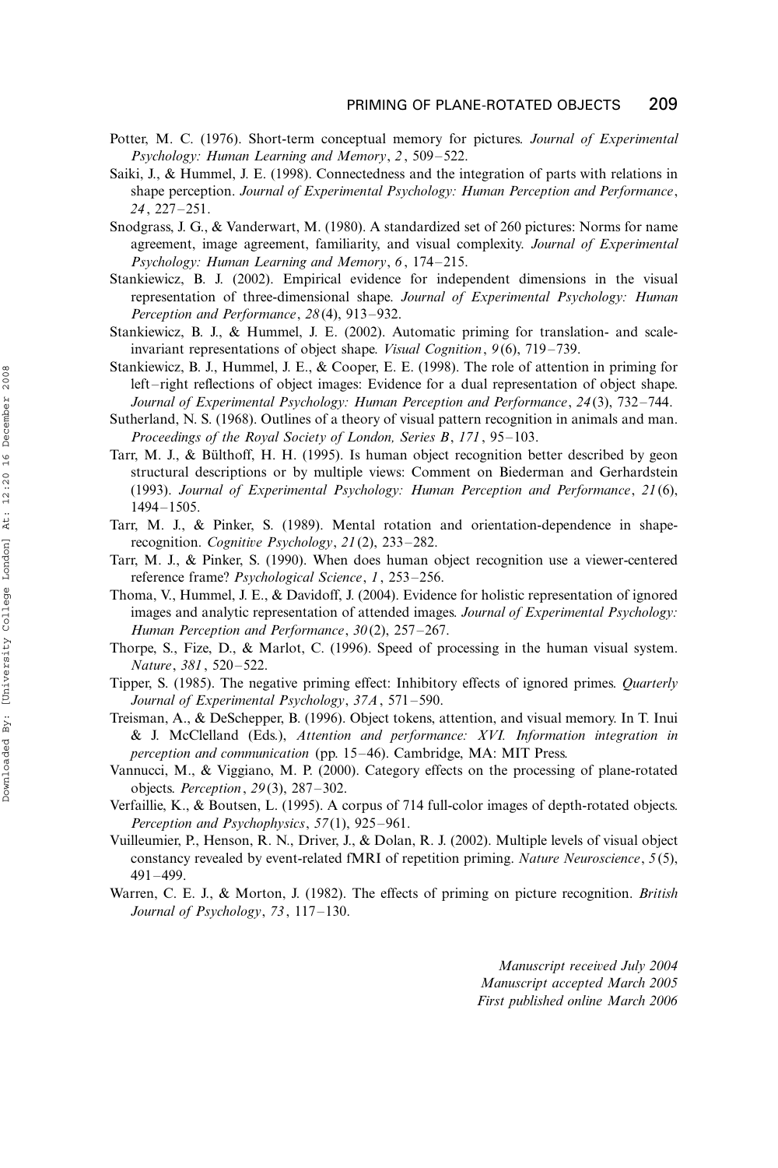- Potter, M. C. (1976). Short-term conceptual memory for pictures. Journal of Experimental Psychology: Human Learning and Memory, 2, 509-522.
- Saiki, J., & Hummel, J. E. (1998). Connectedness and the integration of parts with relations in shape perception. Journal of Experimental Psychology: Human Perception and Performance, 24, 227-251.
- Snodgrass, J. G., & Vanderwart, M. (1980). A standardized set of 260 pictures: Norms for name agreement, image agreement, familiarity, and visual complexity. Journal of Experimental Psychology: Human Learning and Memory, 6, 174-215.
- Stankiewicz, B. J. (2002). Empirical evidence for independent dimensions in the visual representation of three-dimensional shape. Journal of Experimental Psychology: Human Perception and Performance, 28(4), 913-932.
- Stankiewicz, B. J., & Hummel, J. E. (2002). Automatic priming for translation- and scaleinvariant representations of object shape. *Visual Cognition*, 9(6), 719–739.
- Stankiewicz, B. J., Hummel, J. E., & Cooper, E. E. (1998). The role of attention in priming for left-right reflections of object images: Evidence for a dual representation of object shape. Journal of Experimental Psychology: Human Perception and Performance, 24(3), 732-744.
- Sutherland, N. S. (1968). Outlines of a theory of visual pattern recognition in animals and man. Proceedings of the Royal Society of London, Series B, 171, 95-103.
- Tarr, M. J., & Bülthoff, H. H. (1995). Is human object recognition better described by geon structural descriptions or by multiple views: Comment on Biederman and Gerhardstein (1993). Journal of Experimental Psychology: Human Perception and Performance, 21(6), 1494-1505.
- Tarr, M. J., & Pinker, S. (1989). Mental rotation and orientation-dependence in shaperecognition. Cognitive Psychology, 21(2), 233-282.
- Tarr, M. J., & Pinker, S. (1990). When does human object recognition use a viewer-centered reference frame? Psychological Science, 1, 253-256.
- Thoma, V., Hummel, J. E., & Davidoff, J. (2004). Evidence for holistic representation of ignored images and analytic representation of attended images. Journal of Experimental Psychology: Human Perception and Performance, 30(2), 257-267.
- Thorpe, S., Fize, D., & Marlot, C. (1996). Speed of processing in the human visual system. Nature, 381, 520-522.
- Tipper, S. (1985). The negative priming effect: Inhibitory effects of ignored primes. Quarterly Journal of Experimental Psychology, 37A, 571-590.
- Treisman, A., & DeSchepper, B. (1996). Object tokens, attention, and visual memory. In T. Inui & J. McClelland (Eds.), Attention and performance: XVI. Information integration in perception and communication (pp. 15-46). Cambridge, MA: MIT Press.
- Vannucci, M., & Viggiano, M. P. (2000). Category effects on the processing of plane-rotated objects. Perception, 29(3), 287-302.
- Verfaillie, K., & Boutsen, L. (1995). A corpus of 714 full-color images of depth-rotated objects. Perception and Psychophysics, 57(1), 925-961.
- Vuilleumier, P., Henson, R. N., Driver, J., & Dolan, R. J. (2002). Multiple levels of visual object constancy revealed by event-related fMRI of repetition priming. Nature Neuroscience, 5(5), 491-499.
- Warren, C. E. J., & Morton, J. (1982). The effects of priming on picture recognition. British Journal of Psychology, 73, 117-130.

Manuscript received July 2004 Manuscript accepted March 2005 First published online March 2006